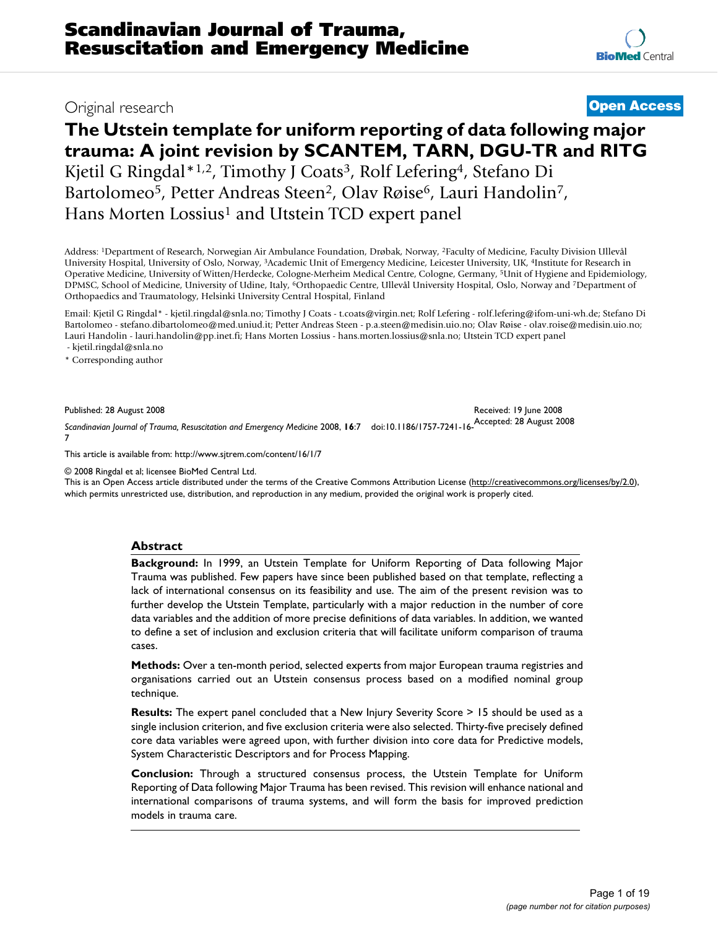# Original research **[Open Access](http://www.biomedcentral.com/info/about/charter/)**

Received: 19 June 2008

**The Utstein template for uniform reporting of data following major trauma: A joint revision by SCANTEM, TARN, DGU-TR and RITG** Kjetil G Ringdal\*<sup>1,2</sup>, Timothy J Coats<sup>3</sup>, Rolf Lefering<sup>4</sup>, Stefano Di Bartolomeo<sup>5</sup>, Petter Andreas Steen<sup>2</sup>, Olav Røise<sup>6</sup>, Lauri Handolin<sup>7</sup>, Hans Morten Lossius<sup>1</sup> and Utstein TCD expert panel

Address: 1Department of Research, Norwegian Air Ambulance Foundation, Drøbak, Norway, 2Faculty of Medicine, Faculty Division Ullevål University Hospital, University of Oslo, Norway, 3Academic Unit of Emergency Medicine, Leicester University, UK, 4Institute for Research in Operative Medicine, University of Witten/Herdecke, Cologne-Merheim Medical Centre, Cologne, Germany, 5Unit of Hygiene and Epidemiology, DPMSC, School of Medicine, University of Udine, Italy, 6Orthopaedic Centre, Ullevål University Hospital, Oslo, Norway and 7Department of Orthopaedics and Traumatology, Helsinki University Central Hospital, Finland

Email: Kjetil G Ringdal\* - kjetil.ringdal@snla.no; Timothy J Coats - t.coats@virgin.net; Rolf Lefering - rolf.lefering@ifom-uni-wh.de; Stefano Di Bartolomeo - stefano.dibartolomeo@med.uniud.it; Petter Andreas Steen - p.a.steen@medisin.uio.no; Olav Røise - olav.roise@medisin.uio.no; Lauri Handolin - lauri.handolin@pp.inet.fi; Hans Morten Lossius - hans.morten.lossius@snla.no; Utstein TCD expert panel - kjetil.ringdal@snla.no

\* Corresponding author

Published: 28 August 2008

*Scandinavian Journal of Trauma, Resuscitation and Emergency Medicine* 2008, **16**:7 doi:10.1186/1757-7241-16- 7 Accepted: 28 August 2008

[This article is available from: http://www.sjtrem.com/content/16/1/7](http://www.sjtrem.com/content/16/1/7)

© 2008 Ringdal et al; licensee BioMed Central Ltd.

This is an Open Access article distributed under the terms of the Creative Commons Attribution License [\(http://creativecommons.org/licenses/by/2.0\)](http://creativecommons.org/licenses/by/2.0), which permits unrestricted use, distribution, and reproduction in any medium, provided the original work is properly cited.

## **Abstract**

**Background:** In 1999, an Utstein Template for Uniform Reporting of Data following Major Trauma was published. Few papers have since been published based on that template, reflecting a lack of international consensus on its feasibility and use. The aim of the present revision was to further develop the Utstein Template, particularly with a major reduction in the number of core data variables and the addition of more precise definitions of data variables. In addition, we wanted to define a set of inclusion and exclusion criteria that will facilitate uniform comparison of trauma cases.

**Methods:** Over a ten-month period, selected experts from major European trauma registries and organisations carried out an Utstein consensus process based on a modified nominal group technique.

**Results:** The expert panel concluded that a New Injury Severity Score > 15 should be used as a single inclusion criterion, and five exclusion criteria were also selected. Thirty-five precisely defined core data variables were agreed upon, with further division into core data for Predictive models, System Characteristic Descriptors and for Process Mapping.

**Conclusion:** Through a structured consensus process, the Utstein Template for Uniform Reporting of Data following Major Trauma has been revised. This revision will enhance national and international comparisons of trauma systems, and will form the basis for improved prediction models in trauma care.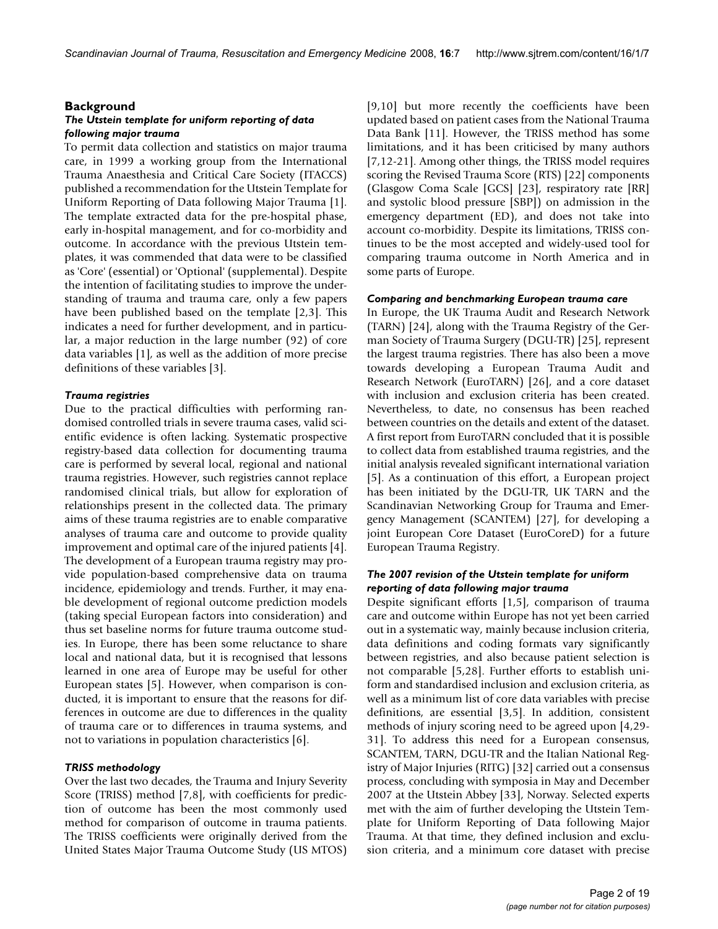#### **Background**

#### *The Utstein template for uniform reporting of data following major trauma*

To permit data collection and statistics on major trauma care, in 1999 a working group from the International Trauma Anaesthesia and Critical Care Society (ITACCS) published a recommendation for the Utstein Template for Uniform Reporting of Data following Major Trauma [1]. The template extracted data for the pre-hospital phase, early in-hospital management, and for co-morbidity and outcome. In accordance with the previous Utstein templates, it was commended that data were to be classified as 'Core' (essential) or 'Optional' (supplemental). Despite the intention of facilitating studies to improve the understanding of trauma and trauma care, only a few papers have been published based on the template [2,3]. This indicates a need for further development, and in particular, a major reduction in the large number (92) of core data variables [1], as well as the addition of more precise definitions of these variables [3].

#### *Trauma registries*

Due to the practical difficulties with performing randomised controlled trials in severe trauma cases, valid scientific evidence is often lacking. Systematic prospective registry-based data collection for documenting trauma care is performed by several local, regional and national trauma registries. However, such registries cannot replace randomised clinical trials, but allow for exploration of relationships present in the collected data. The primary aims of these trauma registries are to enable comparative analyses of trauma care and outcome to provide quality improvement and optimal care of the injured patients [4]. The development of a European trauma registry may provide population-based comprehensive data on trauma incidence, epidemiology and trends. Further, it may enable development of regional outcome prediction models (taking special European factors into consideration) and thus set baseline norms for future trauma outcome studies. In Europe, there has been some reluctance to share local and national data, but it is recognised that lessons learned in one area of Europe may be useful for other European states [5]. However, when comparison is conducted, it is important to ensure that the reasons for differences in outcome are due to differences in the quality of trauma care or to differences in trauma systems, and not to variations in population characteristics [6].

#### *TRISS methodology*

Over the last two decades, the Trauma and Injury Severity Score (TRISS) method [7,8], with coefficients for prediction of outcome has been the most commonly used method for comparison of outcome in trauma patients. The TRISS coefficients were originally derived from the United States Major Trauma Outcome Study (US MTOS)

[9,10] but more recently the coefficients have been updated based on patient cases from the National Trauma Data Bank [11]. However, the TRISS method has some limitations, and it has been criticised by many authors [7,12-21]. Among other things, the TRISS model requires scoring the Revised Trauma Score (RTS) [22] components (Glasgow Coma Scale [GCS] [23], respiratory rate [RR] and systolic blood pressure [SBP]) on admission in the emergency department (ED), and does not take into account co-morbidity. Despite its limitations, TRISS continues to be the most accepted and widely-used tool for comparing trauma outcome in North America and in some parts of Europe.

#### *Comparing and benchmarking European trauma care*

In Europe, the UK Trauma Audit and Research Network (TARN) [24], along with the Trauma Registry of the German Society of Trauma Surgery (DGU-TR) [25], represent the largest trauma registries. There has also been a move towards developing a European Trauma Audit and Research Network (EuroTARN) [26], and a core dataset with inclusion and exclusion criteria has been created. Nevertheless, to date, no consensus has been reached between countries on the details and extent of the dataset. A first report from EuroTARN concluded that it is possible to collect data from established trauma registries, and the initial analysis revealed significant international variation [5]. As a continuation of this effort, a European project has been initiated by the DGU-TR, UK TARN and the Scandinavian Networking Group for Trauma and Emergency Management (SCANTEM) [27], for developing a joint European Core Dataset (EuroCoreD) for a future European Trauma Registry.

## *The 2007 revision of the Utstein template for uniform reporting of data following major trauma*

Despite significant efforts [1,5], comparison of trauma care and outcome within Europe has not yet been carried out in a systematic way, mainly because inclusion criteria, data definitions and coding formats vary significantly between registries, and also because patient selection is not comparable [5,28]. Further efforts to establish uniform and standardised inclusion and exclusion criteria, as well as a minimum list of core data variables with precise definitions, are essential [3,5]. In addition, consistent methods of injury scoring need to be agreed upon [4,29- 31]. To address this need for a European consensus, SCANTEM, TARN, DGU-TR and the Italian National Registry of Major Injuries (RITG) [32] carried out a consensus process, concluding with symposia in May and December 2007 at the Utstein Abbey [33], Norway. Selected experts met with the aim of further developing the Utstein Template for Uniform Reporting of Data following Major Trauma. At that time, they defined inclusion and exclusion criteria, and a minimum core dataset with precise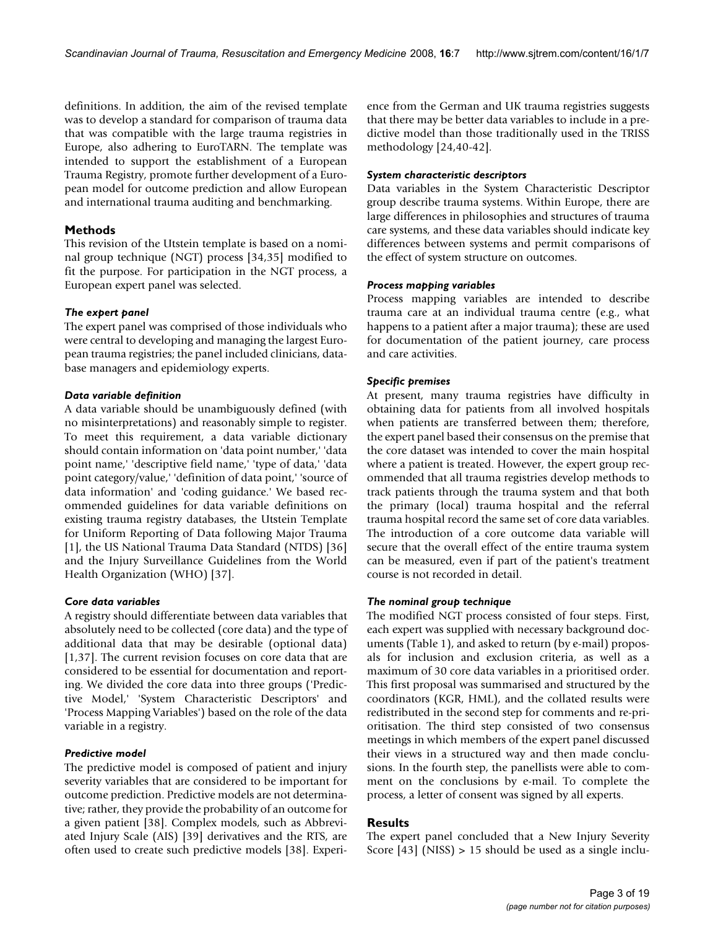definitions. In addition, the aim of the revised template was to develop a standard for comparison of trauma data that was compatible with the large trauma registries in Europe, also adhering to EuroTARN. The template was intended to support the establishment of a European Trauma Registry, promote further development of a European model for outcome prediction and allow European and international trauma auditing and benchmarking.

## **Methods**

This revision of the Utstein template is based on a nominal group technique (NGT) process [34,35] modified to fit the purpose. For participation in the NGT process, a European expert panel was selected.

# *The expert panel*

The expert panel was comprised of those individuals who were central to developing and managing the largest European trauma registries; the panel included clinicians, database managers and epidemiology experts.

# *Data variable definition*

A data variable should be unambiguously defined (with no misinterpretations) and reasonably simple to register. To meet this requirement, a data variable dictionary should contain information on 'data point number,' 'data point name,' 'descriptive field name,' 'type of data,' 'data point category/value,' 'definition of data point,' 'source of data information' and 'coding guidance.' We based recommended guidelines for data variable definitions on existing trauma registry databases, the Utstein Template for Uniform Reporting of Data following Major Trauma [1], the US National Trauma Data Standard (NTDS) [36] and the Injury Surveillance Guidelines from the World Health Organization (WHO) [37].

## *Core data variables*

A registry should differentiate between data variables that absolutely need to be collected (core data) and the type of additional data that may be desirable (optional data) [1,37]. The current revision focuses on core data that are considered to be essential for documentation and reporting. We divided the core data into three groups ('Predictive Model,' 'System Characteristic Descriptors' and 'Process Mapping Variables') based on the role of the data variable in a registry.

## *Predictive model*

The predictive model is composed of patient and injury severity variables that are considered to be important for outcome prediction. Predictive models are not determinative; rather, they provide the probability of an outcome for a given patient [38]. Complex models, such as Abbreviated Injury Scale (AIS) [39] derivatives and the RTS, are often used to create such predictive models [38]. Experience from the German and UK trauma registries suggests that there may be better data variables to include in a predictive model than those traditionally used in the TRISS methodology [24,40-42].

## *System characteristic descriptors*

Data variables in the System Characteristic Descriptor group describe trauma systems. Within Europe, there are large differences in philosophies and structures of trauma care systems, and these data variables should indicate key differences between systems and permit comparisons of the effect of system structure on outcomes.

## *Process mapping variables*

Process mapping variables are intended to describe trauma care at an individual trauma centre (e.g., what happens to a patient after a major trauma); these are used for documentation of the patient journey, care process and care activities.

## *Specific premises*

At present, many trauma registries have difficulty in obtaining data for patients from all involved hospitals when patients are transferred between them; therefore, the expert panel based their consensus on the premise that the core dataset was intended to cover the main hospital where a patient is treated. However, the expert group recommended that all trauma registries develop methods to track patients through the trauma system and that both the primary (local) trauma hospital and the referral trauma hospital record the same set of core data variables. The introduction of a core outcome data variable will secure that the overall effect of the entire trauma system can be measured, even if part of the patient's treatment course is not recorded in detail.

# *The nominal group technique*

The modified NGT process consisted of four steps. First, each expert was supplied with necessary background documents (Table 1), and asked to return (by e-mail) proposals for inclusion and exclusion criteria, as well as a maximum of 30 core data variables in a prioritised order. This first proposal was summarised and structured by the coordinators (KGR, HML), and the collated results were redistributed in the second step for comments and re-prioritisation. The third step consisted of two consensus meetings in which members of the expert panel discussed their views in a structured way and then made conclusions. In the fourth step, the panellists were able to comment on the conclusions by e-mail. To complete the process, a letter of consent was signed by all experts.

# **Results**

The expert panel concluded that a New Injury Severity Score [43] (NISS) > 15 should be used as a single inclu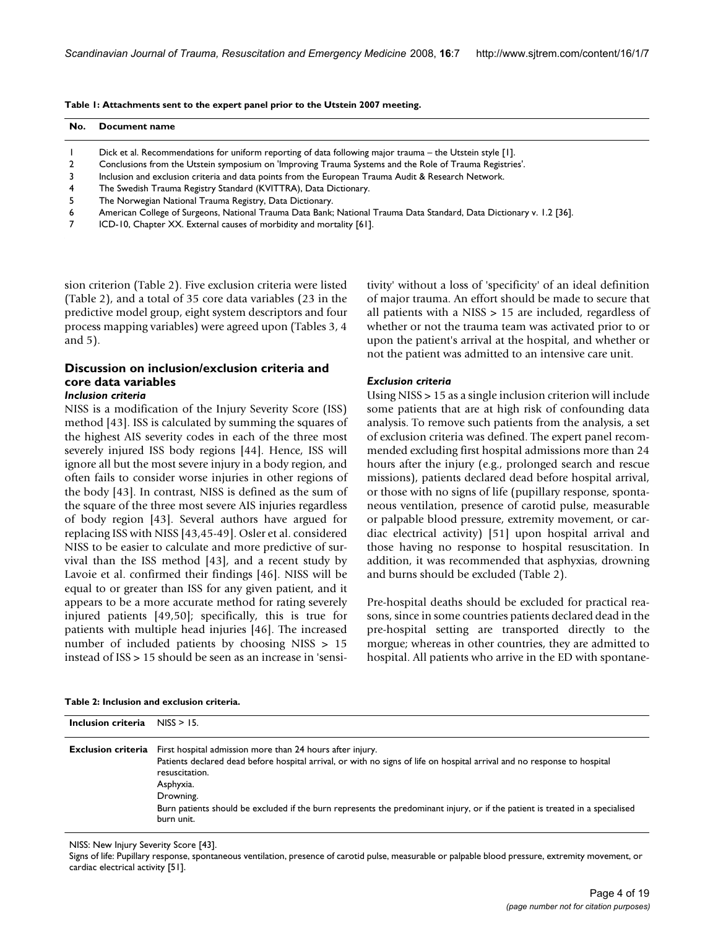**Table 1: Attachments sent to the expert panel prior to the Utstein 2007 meeting.**

| Document name                                                                                                        |  |
|----------------------------------------------------------------------------------------------------------------------|--|
| Dick et al. Recommendations for uniform reporting of data following major trauma – the Utstein style [1].            |  |
| Conclusions from the Utstein symposium on 'Improving Trauma Systems and the Role of Trauma Registries'.              |  |
| Inclusion and exclusion criteria and data points from the European Trauma Audit & Research Network.                  |  |
| The Swedish Trauma Registry Standard (KVITTRA), Data Dictionary.                                                     |  |
| The Norwegian National Trauma Registry, Data Dictionary.                                                             |  |
| American College of Surgeons, National Trauma Data Bank; National Trauma Data Standard, Data Dictionary v. 1.2 [36]. |  |
| ICD-10, Chapter XX. External causes of morbidity and mortality [61].                                                 |  |
|                                                                                                                      |  |

sion criterion (Table 2). Five exclusion criteria were listed (Table 2), and a total of 35 core data variables (23 in the predictive model group, eight system descriptors and four process mapping variables) were agreed upon (Tables 3, 4 and 5).

# **Discussion on inclusion/exclusion criteria and core data variables**

#### *Inclusion criteria*

NISS is a modification of the Injury Severity Score (ISS) method [43]. ISS is calculated by summing the squares of the highest AIS severity codes in each of the three most severely injured ISS body regions [44]. Hence, ISS will ignore all but the most severe injury in a body region, and often fails to consider worse injuries in other regions of the body [43]. In contrast, NISS is defined as the sum of the square of the three most severe AIS injuries regardless of body region [43]. Several authors have argued for replacing ISS with NISS [43,45-49]. Osler et al. considered NISS to be easier to calculate and more predictive of survival than the ISS method [43], and a recent study by Lavoie et al. confirmed their findings [46]. NISS will be equal to or greater than ISS for any given patient, and it appears to be a more accurate method for rating severely injured patients [49,50]; specifically, this is true for patients with multiple head injuries [46]. The increased number of included patients by choosing NISS > 15 instead of ISS > 15 should be seen as an increase in 'sensitivity' without a loss of 'specificity' of an ideal definition of major trauma. An effort should be made to secure that all patients with a NISS > 15 are included, regardless of whether or not the trauma team was activated prior to or upon the patient's arrival at the hospital, and whether or not the patient was admitted to an intensive care unit.

#### *Exclusion criteria*

Using NISS > 15 as a single inclusion criterion will include some patients that are at high risk of confounding data analysis. To remove such patients from the analysis, a set of exclusion criteria was defined. The expert panel recommended excluding first hospital admissions more than 24 hours after the injury (e.g., prolonged search and rescue missions), patients declared dead before hospital arrival, or those with no signs of life (pupillary response, spontaneous ventilation, presence of carotid pulse, measurable or palpable blood pressure, extremity movement, or cardiac electrical activity) [51] upon hospital arrival and those having no response to hospital resuscitation. In addition, it was recommended that asphyxias, drowning and burns should be excluded (Table 2).

Pre-hospital deaths should be excluded for practical reasons, since in some countries patients declared dead in the pre-hospital setting are transported directly to the morgue; whereas in other countries, they are admitted to hospital. All patients who arrive in the ED with spontane-

| Inclusion criteria | NISS > 15.                                                                                                                                                                                                                                                                                                                                                                                                 |
|--------------------|------------------------------------------------------------------------------------------------------------------------------------------------------------------------------------------------------------------------------------------------------------------------------------------------------------------------------------------------------------------------------------------------------------|
|                    | <b>Exclusion criteria</b> First hospital admission more than 24 hours after injury.<br>Patients declared dead before hospital arrival, or with no signs of life on hospital arrival and no response to hospital<br>resuscitation.<br>Asphyxia.<br>Drowning.<br>Burn patients should be excluded if the burn represents the predominant injury, or if the patient is treated in a specialised<br>burn unit. |

**Table 2: Inclusion and exclusion criteria.**

NISS: New Injury Severity Score [43].

Signs of life: Pupillary response, spontaneous ventilation, presence of carotid pulse, measurable or palpable blood pressure, extremity movement, or cardiac electrical activity [51].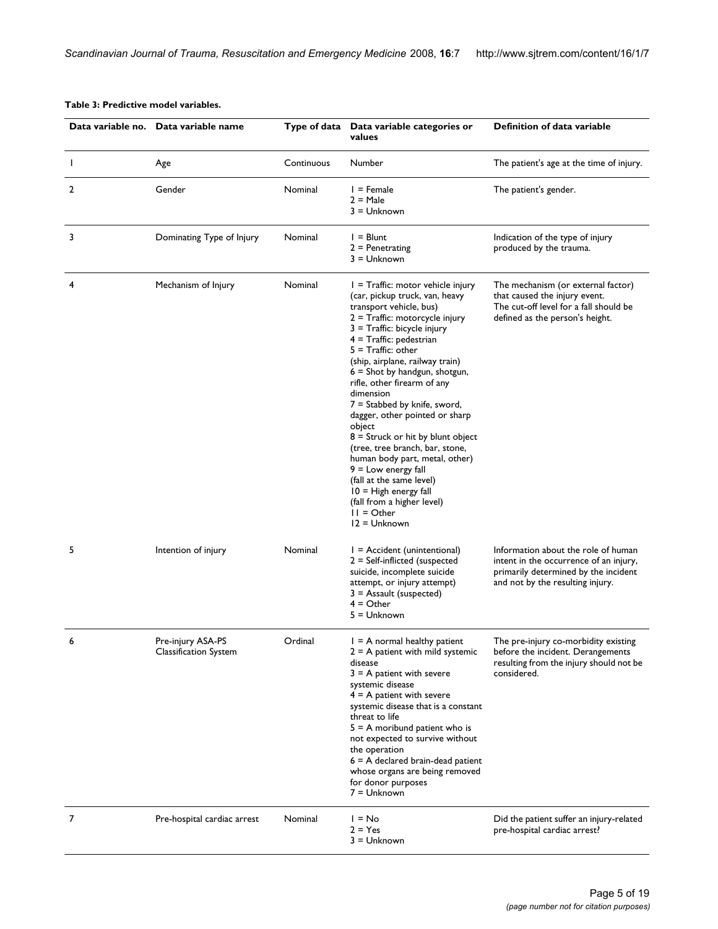|   | Data variable no. Data variable name              | Type of data | Data variable categories or<br>values                                                                                                                                                                                                                                                                                                                                                                                                                                                                                                                                                                                                                                                   | Definition of data variable                                                                                                                               |
|---|---------------------------------------------------|--------------|-----------------------------------------------------------------------------------------------------------------------------------------------------------------------------------------------------------------------------------------------------------------------------------------------------------------------------------------------------------------------------------------------------------------------------------------------------------------------------------------------------------------------------------------------------------------------------------------------------------------------------------------------------------------------------------------|-----------------------------------------------------------------------------------------------------------------------------------------------------------|
|   | Age                                               | Continuous   | Number                                                                                                                                                                                                                                                                                                                                                                                                                                                                                                                                                                                                                                                                                  | The patient's age at the time of injury.                                                                                                                  |
| 2 | Gender                                            | Nominal      | $I =$ Female<br>$2 = Male$<br>$3 =$ Unknown                                                                                                                                                                                                                                                                                                                                                                                                                                                                                                                                                                                                                                             | The patient's gender.                                                                                                                                     |
| 3 | Dominating Type of Injury                         | Nominal      | $I = Blunt$<br>$2 =$ Penetrating<br>$3 =$ Unknown                                                                                                                                                                                                                                                                                                                                                                                                                                                                                                                                                                                                                                       | Indication of the type of injury<br>produced by the trauma.                                                                                               |
| 4 | Mechanism of Injury                               | Nominal      | $I = T \nleftarrow$ : motor vehicle injury<br>(car, pickup truck, van, heavy<br>transport vehicle, bus)<br>2 = Traffic: motorcycle injury<br>$3 =$ Traffic: bicycle injury<br>$4 =$ Traffic: pedestrian<br>$5 =$ Traffic: other<br>(ship, airplane, railway train)<br>$6 =$ Shot by handgun, shotgun,<br>rifle, other firearm of any<br>dimension<br>$7 =$ Stabbed by knife, sword,<br>dagger, other pointed or sharp<br>object<br>8 = Struck or hit by blunt object<br>(tree, tree branch, bar, stone,<br>human body part, metal, other)<br>$9 =$ Low energy fall<br>(fall at the same level)<br>$10 =$ High energy fall<br>(fall from a higher level)<br>$II = Other$<br>12 = Unknown | The mechanism (or external factor)<br>that caused the injury event.<br>The cut-off level for a fall should be<br>defined as the person's height.          |
| 5 | Intention of injury                               | Nominal      | $I = Accident (unintentional)$<br>$2 = Self-inflicted$ (suspected<br>suicide, incomplete suicide<br>attempt, or injury attempt)<br>$3 =$ Assault (suspected)<br>$4 =$ Other<br>$5 =$ Unknown                                                                                                                                                                                                                                                                                                                                                                                                                                                                                            | Information about the role of human<br>intent in the occurrence of an injury,<br>primarily determined by the incident<br>and not by the resulting injury. |
| 6 | Pre-injury ASA-PS<br><b>Classification System</b> | Ordinal      | $I = A$ normal healthy patient<br>$2 = A$ patient with mild systemic<br>disease<br>$3 = A$ patient with severe<br>systemic disease<br>$4 = A$ patient with severe<br>systemic disease that is a constant<br>threat to life<br>$5 = A$ moribund patient who is<br>not expected to survive without<br>the operation<br>$6 = A$ declared brain-dead patient<br>whose organs are being removed<br>for donor purposes<br>7 = Unknown                                                                                                                                                                                                                                                         | The pre-injury co-morbidity existing<br>before the incident. Derangements<br>resulting from the injury should not be<br>considered.                       |
| 7 | Pre-hospital cardiac arrest                       | Nominal      | $I = No$<br>$2 = Yes$                                                                                                                                                                                                                                                                                                                                                                                                                                                                                                                                                                                                                                                                   | Did the patient suffer an injury-related<br>pre-hospital cardiac arrest?                                                                                  |

3 = Unknown

#### **Table 3: Predictive model variables.**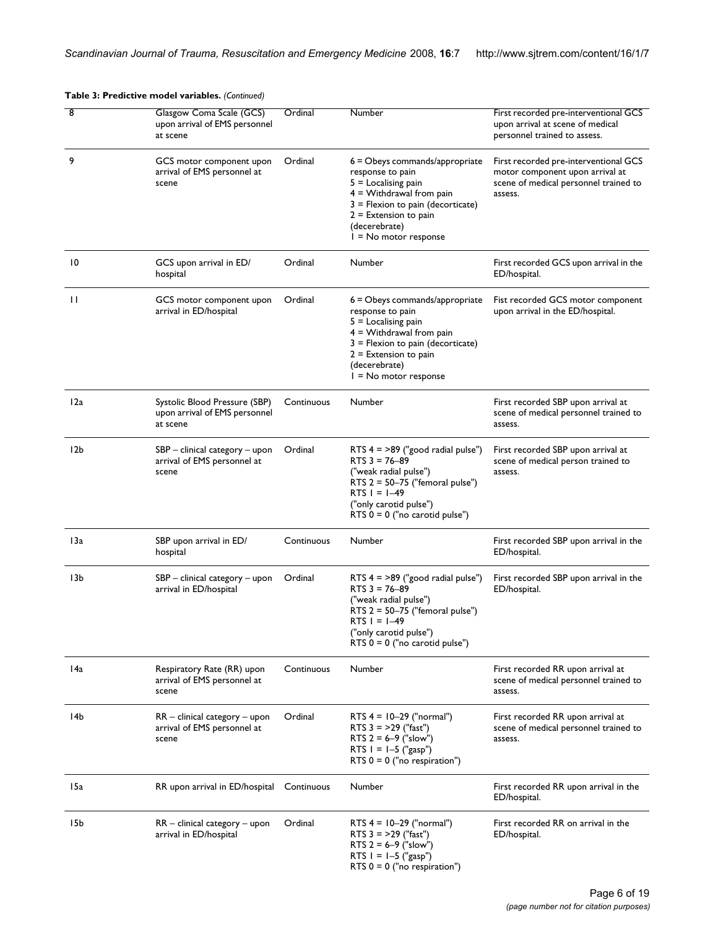| 8               | Glasgow Coma Scale (GCS)<br>upon arrival of EMS personnel<br>at scene      | Ordinal<br>Number |                                                                                                                                                                                                                           | First recorded pre-interventional GCS<br>upon arrival at scene of medical<br>personnel trained to assess.                    |
|-----------------|----------------------------------------------------------------------------|-------------------|---------------------------------------------------------------------------------------------------------------------------------------------------------------------------------------------------------------------------|------------------------------------------------------------------------------------------------------------------------------|
| 9               | GCS motor component upon<br>arrival of EMS personnel at<br>scene           | Ordinal           | $6 =$ Obeys commands/appropriate<br>response to pain<br>$5 =$ Localising pain<br>$4 = Withdrawal from pain$<br>3 = Flexion to pain (decorticate)<br>2 = Extension to pain<br>(decerebrate)<br>$I = No$ motor response     | First recorded pre-interventional GCS<br>motor component upon arrival at<br>scene of medical personnel trained to<br>assess. |
| 10              | GCS upon arrival in ED/<br>hospital                                        | Ordinal           | Number                                                                                                                                                                                                                    | First recorded GCS upon arrival in the<br>ED/hospital.                                                                       |
| Ш               | GCS motor component upon<br>arrival in ED/hospital                         | Ordinal           | $6 =$ Obeys commands/appropriate<br>response to pain<br>$5 =$ Localising pain<br>$4 = Withdrawal from pain$<br>$3$ = Flexion to pain (decorticate)<br>$2$ = Extension to pain<br>(decerebrate)<br>$I = No$ motor response | Fist recorded GCS motor component<br>upon arrival in the ED/hospital.                                                        |
| 12a             | Systolic Blood Pressure (SBP)<br>upon arrival of EMS personnel<br>at scene | Continuous        | Number                                                                                                                                                                                                                    | First recorded SBP upon arrival at<br>scene of medical personnel trained to<br>assess.                                       |
| 12 <sub>b</sub> | $SBP - clinical category - upon$<br>arrival of EMS personnel at<br>scene   | Ordinal           | $RTS$ 4 = $>$ 89 ("good radial pulse")<br>RTS 3 = 76–89<br>("weak radial pulse")<br>RTS $2 = 50-75$ ("femoral pulse")<br>RTS $I = I-49$<br>("only carotid pulse")<br>RTS $0 = 0$ ("no carotid pulse")                     | First recorded SBP upon arrival at<br>scene of medical person trained to<br>assess.                                          |
| 13a             | SBP upon arrival in ED/<br>hospital                                        | Continuous        | Number                                                                                                                                                                                                                    | First recorded SBP upon arrival in the<br>ED/hospital.                                                                       |
| 13 <sub>b</sub> | $SBP - clinical category - upon$<br>arrival in ED/hospital                 | Ordinal           | $RTS$ 4 = $>$ 89 ("good radial pulse")<br>RTS 3 = 76–89<br>("weak radial pulse")<br>RTS 2 = 50-75 ("femoral pulse")<br>RTS I = 1–49<br>("only carotid pulse")<br>RTS $0 = 0$ ("no carotid pulse")                         | First recorded SBP upon arrival in the<br>ED/hospital.                                                                       |
| 14a             | Respiratory Rate (RR) upon<br>arrival of EMS personnel at<br>scene         | Continuous        | Number                                                                                                                                                                                                                    | First recorded RR upon arrival at<br>scene of medical personnel trained to<br>assess.                                        |
| l 4b            | RR - clinical category - upon<br>arrival of EMS personnel at<br>scene      | Ordinal           | RTS $4 = 10-29$ ("normal")<br>RTS $3 = 29$ ("fast")<br>RTS $2 = 6 - 9$ ("slow")<br>RTS $I = I - 5$ ("gasp")<br>RTS $0 = 0$ ("no respiration")                                                                             | First recorded RR upon arrival at<br>scene of medical personnel trained to<br>assess.                                        |
| 15a             | RR upon arrival in ED/hospital Continuous                                  |                   | Number                                                                                                                                                                                                                    | First recorded RR upon arrival in the<br>ED/hospital.                                                                        |
| 15b             | $RR$ – clinical category – upon<br>arrival in ED/hospital                  | Ordinal           | RTS $4 = 10-29$ ("normal")<br>RTS $3 = 29$ ("fast")<br>RTS $2 = 6 - 9$ ("slow")<br>RTS $I = I - 5$ ("gasp")                                                                                                               | First recorded RR on arrival in the<br>ED/hospital.                                                                          |

RTS 0 = 0 ("no respiration")

# **Table 3: Predictive model variables.** *(Continued)*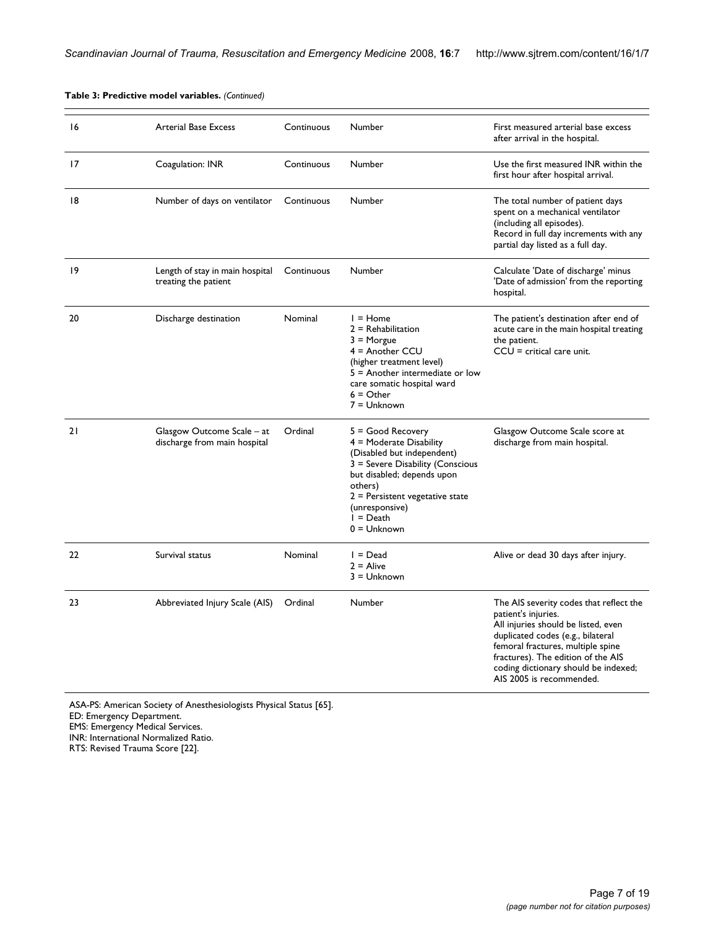| 16 | <b>Arterial Base Excess</b>                                | Continuous | Number                                                                                                                                                                                                                                             | First measured arterial base excess<br>after arrival in the hospital.                                                                                                                                                                                                                     |
|----|------------------------------------------------------------|------------|----------------------------------------------------------------------------------------------------------------------------------------------------------------------------------------------------------------------------------------------------|-------------------------------------------------------------------------------------------------------------------------------------------------------------------------------------------------------------------------------------------------------------------------------------------|
| 17 | Coagulation: INR                                           | Continuous | Number                                                                                                                                                                                                                                             | Use the first measured INR within the<br>first hour after hospital arrival.                                                                                                                                                                                                               |
| 18 | Number of days on ventilator                               | Continuous | Number                                                                                                                                                                                                                                             | The total number of patient days<br>spent on a mechanical ventilator<br>(including all episodes).<br>Record in full day increments with any<br>partial day listed as a full day.                                                                                                          |
| 19 | Length of stay in main hospital<br>treating the patient    | Continuous | Number                                                                                                                                                                                                                                             | Calculate 'Date of discharge' minus<br>'Date of admission' from the reporting<br>hospital.                                                                                                                                                                                                |
| 20 | Discharge destination                                      | Nominal    | $I =$ Home<br>$2 =$ Rehabilitation<br>$3 =$ Morgue<br>$4 =$ Another CCU<br>(higher treatment level)<br>5 = Another intermediate or low<br>care somatic hospital ward<br>$6 =$ Other<br>7 = Unknown                                                 | The patient's destination after end of<br>acute care in the main hospital treating<br>the patient.<br>$CCU = critical care unit.$                                                                                                                                                         |
| 21 | Glasgow Outcome Scale – at<br>discharge from main hospital | Ordinal    | $5 = Good Recovery$<br>$4$ = Moderate Disability<br>(Disabled but independent)<br>3 = Severe Disability (Conscious<br>but disabled; depends upon<br>others)<br>$2$ = Persistent vegetative state<br>(unresponsive)<br>$I = Death$<br>$0 =$ Unknown | Glasgow Outcome Scale score at<br>discharge from main hospital.                                                                                                                                                                                                                           |
| 22 | Survival status                                            | Nominal    | $I = Dead$<br>$2 =$ Alive<br>$3 =$ Unknown                                                                                                                                                                                                         | Alive or dead 30 days after injury.                                                                                                                                                                                                                                                       |
| 23 | Abbreviated Injury Scale (AIS)                             | Ordinal    | Number                                                                                                                                                                                                                                             | The AIS severity codes that reflect the<br>patient's injuries.<br>All injuries should be listed, even<br>duplicated codes (e.g., bilateral<br>femoral fractures, multiple spine<br>fractures). The edition of the AIS<br>coding dictionary should be indexed;<br>AIS 2005 is recommended. |

# **Table 3: Predictive model variables.** *(Continued)*

ASA-PS: American Society of Anesthesiologists Physical Status [65].

ED: Emergency Department. EMS: Emergency Medical Services.

INR: International Normalized Ratio.

RTS: Revised Trauma Score [22].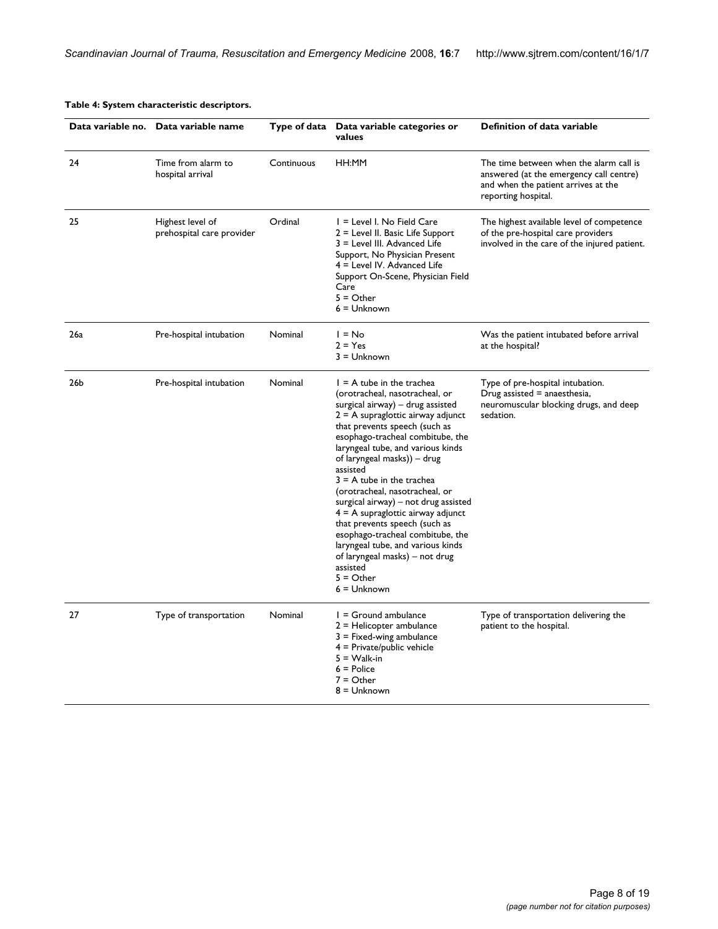| Data variable no. | Data variable name                            | Type of data | Data variable categories or<br>values                                                                                                                                                                                                                                                                                                                                                                                                                                                                                                                                                                                                 | Definition of data variable                                                                                                                      |
|-------------------|-----------------------------------------------|--------------|---------------------------------------------------------------------------------------------------------------------------------------------------------------------------------------------------------------------------------------------------------------------------------------------------------------------------------------------------------------------------------------------------------------------------------------------------------------------------------------------------------------------------------------------------------------------------------------------------------------------------------------|--------------------------------------------------------------------------------------------------------------------------------------------------|
| 24                | Time from alarm to<br>hospital arrival        | Continuous   | HH:MM                                                                                                                                                                                                                                                                                                                                                                                                                                                                                                                                                                                                                                 | The time between when the alarm call is<br>answered (at the emergency call centre)<br>and when the patient arrives at the<br>reporting hospital. |
| 25                | Highest level of<br>prehospital care provider | Ordinal      | I = Level I. No Field Care<br>$2$ = Level II. Basic Life Support<br>3 = Level III. Advanced Life<br>Support, No Physician Present<br>$4 =$ Level IV. Advanced Life<br>Support On-Scene, Physician Field<br>Care<br>$5 =$ Other<br>$6 =$ Unknown                                                                                                                                                                                                                                                                                                                                                                                       | The highest available level of competence<br>of the pre-hospital care providers<br>involved in the care of the injured patient.                  |
| 26a               | Pre-hospital intubation                       | Nominal      | $I = No$<br>$2 = Yes$<br>$3 =$ Unknown                                                                                                                                                                                                                                                                                                                                                                                                                                                                                                                                                                                                | Was the patient intubated before arrival<br>at the hospital?                                                                                     |
| 26 <sub>b</sub>   | Pre-hospital intubation                       | Nominal      | $I = A$ tube in the trachea<br>(orotracheal, nasotracheal, or<br>surgical airway) – drug assisted<br>$2 = A$ supraglottic airway adjunct<br>that prevents speech (such as<br>esophago-tracheal combitube, the<br>laryngeal tube, and various kinds<br>of laryngeal masks)) – drug<br>assisted<br>$3 = A$ tube in the trachea<br>(orotracheal, nasotracheal, or<br>surgical airway) – not drug assisted<br>$4 = A$ supraglottic airway adjunct<br>that prevents speech (such as<br>esophago-tracheal combitube, the<br>laryngeal tube, and various kinds<br>of laryngeal masks) – not drug<br>assisted<br>$5 =$ Other<br>$6 =$ Unknown | Type of pre-hospital intubation.<br>Drug assisted $=$ anaesthesia,<br>neuromuscular blocking drugs, and deep<br>sedation.                        |
| 27                | Type of transportation                        | Nominal      | $I =$ Ground ambulance<br>$2$ = Helicopter ambulance<br>$3 =$ Fixed-wing ambulance<br>$4$ = Private/public vehicle<br>$5 = Walk-in$<br>$6 =$ Police<br>$7 =$ Other<br>8 = Unknown                                                                                                                                                                                                                                                                                                                                                                                                                                                     | Type of transportation delivering the<br>patient to the hospital.                                                                                |

#### **Table 4: System characteristic descriptors.**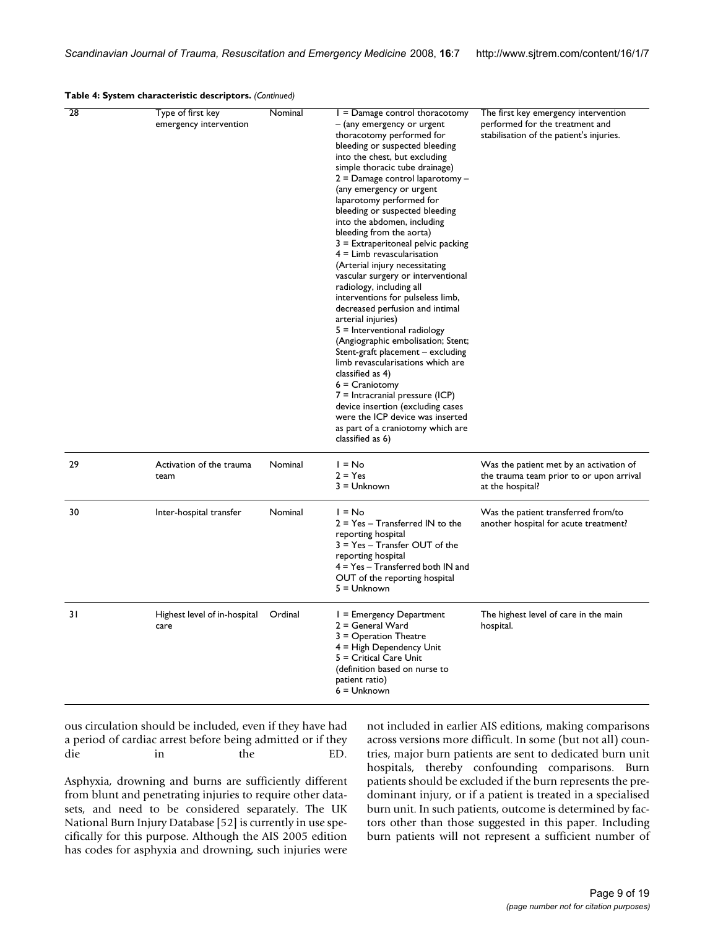#### **Table 4: System characteristic descriptors.** *(Continued)*

| 28 | Type of first key<br>emergency intervention | Nominal | $I =$ Damage control thoracotomy<br>- (any emergency or urgent<br>thoracotomy performed for<br>bleeding or suspected bleeding<br>into the chest, but excluding<br>simple thoracic tube drainage)<br>$2$ = Damage control laparotomy $-$<br>(any emergency or urgent<br>laparotomy performed for<br>bleeding or suspected bleeding<br>into the abdomen, including<br>bleeding from the aorta)<br>$3$ = Extraperitoneal pelvic packing<br>$4 =$ Limb revascularisation<br>(Arterial injury necessitating<br>vascular surgery or interventional<br>radiology, including all<br>interventions for pulseless limb,<br>decreased perfusion and intimal<br>arterial injuries)<br>$5 =$ Interventional radiology<br>(Angiographic embolisation; Stent;<br>Stent-graft placement – excluding<br>limb revascularisations which are<br>classified as 4)<br>$6 =$ Craniotomy<br>$7 =$ Intracranial pressure (ICP)<br>device insertion (excluding cases<br>were the ICP device was inserted<br>as part of a craniotomy which are<br>classified as 6) | The first key emergency intervention<br>performed for the treatment and<br>stabilisation of the patient's injuries. |
|----|---------------------------------------------|---------|-----------------------------------------------------------------------------------------------------------------------------------------------------------------------------------------------------------------------------------------------------------------------------------------------------------------------------------------------------------------------------------------------------------------------------------------------------------------------------------------------------------------------------------------------------------------------------------------------------------------------------------------------------------------------------------------------------------------------------------------------------------------------------------------------------------------------------------------------------------------------------------------------------------------------------------------------------------------------------------------------------------------------------------------|---------------------------------------------------------------------------------------------------------------------|
| 29 | Activation of the trauma<br>team            | Nominal | $I = No$<br>$2 = Yes$<br>$3 =$ Unknown                                                                                                                                                                                                                                                                                                                                                                                                                                                                                                                                                                                                                                                                                                                                                                                                                                                                                                                                                                                                  | Was the patient met by an activation of<br>the trauma team prior to or upon arrival<br>at the hospital?             |
| 30 | Inter-hospital transfer                     | Nominal | $I = No$<br>$2 = Yes - Transferred IN to the$<br>reporting hospital<br>$3 = Yes - Transfer OUT of the$<br>reporting hospital<br>$4 = Yes - Transferred both IN and$<br>OUT of the reporting hospital<br>5 = Unknown                                                                                                                                                                                                                                                                                                                                                                                                                                                                                                                                                                                                                                                                                                                                                                                                                     | Was the patient transferred from/to<br>another hospital for acute treatment?                                        |
| 31 | Highest level of in-hospital<br>care        | Ordinal | 1 = Emergency Department<br>$2 = General Ward$<br>$3 =$ Operation Theatre<br>4 = High Dependency Unit<br>5 = Critical Care Unit<br>(definition based on nurse to<br>patient ratio)<br>6 = Unknown                                                                                                                                                                                                                                                                                                                                                                                                                                                                                                                                                                                                                                                                                                                                                                                                                                       | The highest level of care in the main<br>hospital.                                                                  |

ous circulation should be included, even if they have had a period of cardiac arrest before being admitted or if they die in the ED.

Asphyxia, drowning and burns are sufficiently different from blunt and penetrating injuries to require other datasets, and need to be considered separately. The UK National Burn Injury Database [52] is currently in use specifically for this purpose. Although the AIS 2005 edition has codes for asphyxia and drowning, such injuries were not included in earlier AIS editions, making comparisons across versions more difficult. In some (but not all) countries, major burn patients are sent to dedicated burn unit hospitals, thereby confounding comparisons. Burn patients should be excluded if the burn represents the predominant injury, or if a patient is treated in a specialised burn unit. In such patients, outcome is determined by factors other than those suggested in this paper. Including burn patients will not represent a sufficient number of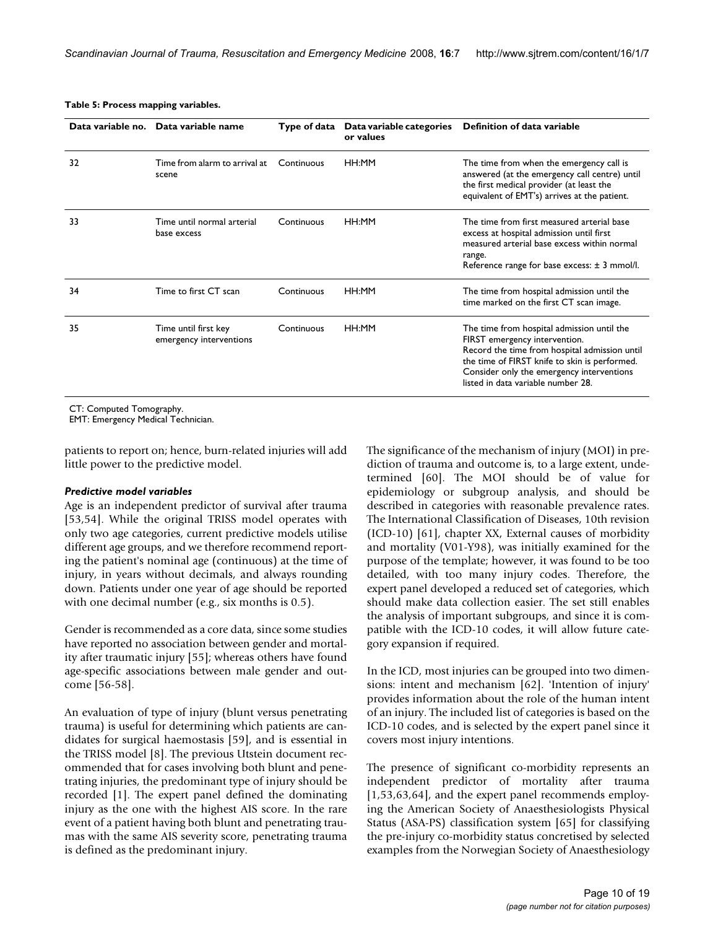#### **Table 5: Process mapping variables.**

|    | Data variable no. Data variable name            | Type of data | Data variable categories<br>or values | Definition of data variable                                                                                                                                                                                                                                      |
|----|-------------------------------------------------|--------------|---------------------------------------|------------------------------------------------------------------------------------------------------------------------------------------------------------------------------------------------------------------------------------------------------------------|
| 32 | Time from alarm to arrival at<br>scene          | Continuous   | HH:MM                                 | The time from when the emergency call is<br>answered (at the emergency call centre) until<br>the first medical provider (at least the<br>equivalent of EMT's) arrives at the patient.                                                                            |
| 33 | Time until normal arterial<br>base excess       | Continuous   | HH:MM                                 | The time from first measured arterial base<br>excess at hospital admission until first<br>measured arterial base excess within normal<br>range.<br>Reference range for base excess: $\pm$ 3 mmol/l.                                                              |
| 34 | Time to first CT scan                           | Continuous   | HH:MM                                 | The time from hospital admission until the<br>time marked on the first CT scan image.                                                                                                                                                                            |
| 35 | Time until first key<br>emergency interventions | Continuous   | HH:MM                                 | The time from hospital admission until the<br>FIRST emergency intervention.<br>Record the time from hospital admission until<br>the time of FIRST knife to skin is performed.<br>Consider only the emergency interventions<br>listed in data variable number 28. |

CT: Computed Tomography.

EMT: Emergency Medical Technician.

patients to report on; hence, burn-related injuries will add little power to the predictive model.

#### *Predictive model variables*

Age is an independent predictor of survival after trauma [53,54]. While the original TRISS model operates with only two age categories, current predictive models utilise different age groups, and we therefore recommend reporting the patient's nominal age (continuous) at the time of injury, in years without decimals, and always rounding down. Patients under one year of age should be reported with one decimal number (e.g., six months is 0.5).

Gender is recommended as a core data, since some studies have reported no association between gender and mortality after traumatic injury [55]; whereas others have found age-specific associations between male gender and outcome [56-58].

An evaluation of type of injury (blunt versus penetrating trauma) is useful for determining which patients are candidates for surgical haemostasis [59], and is essential in the TRISS model [8]. The previous Utstein document recommended that for cases involving both blunt and penetrating injuries, the predominant type of injury should be recorded [1]. The expert panel defined the dominating injury as the one with the highest AIS score. In the rare event of a patient having both blunt and penetrating traumas with the same AIS severity score, penetrating trauma is defined as the predominant injury.

The significance of the mechanism of injury (MOI) in prediction of trauma and outcome is, to a large extent, undetermined [60]. The MOI should be of value for epidemiology or subgroup analysis, and should be described in categories with reasonable prevalence rates. The International Classification of Diseases, 10th revision (ICD-10) [61], chapter XX, External causes of morbidity and mortality (V01-Y98), was initially examined for the purpose of the template; however, it was found to be too detailed, with too many injury codes. Therefore, the expert panel developed a reduced set of categories, which should make data collection easier. The set still enables the analysis of important subgroups, and since it is compatible with the ICD-10 codes, it will allow future category expansion if required.

In the ICD, most injuries can be grouped into two dimensions: intent and mechanism [62]. 'Intention of injury' provides information about the role of the human intent of an injury. The included list of categories is based on the ICD-10 codes, and is selected by the expert panel since it covers most injury intentions.

The presence of significant co-morbidity represents an independent predictor of mortality after trauma [1,53,63,64], and the expert panel recommends employing the American Society of Anaesthesiologists Physical Status (ASA-PS) classification system [65] for classifying the pre-injury co-morbidity status concretised by selected examples from the Norwegian Society of Anaesthesiology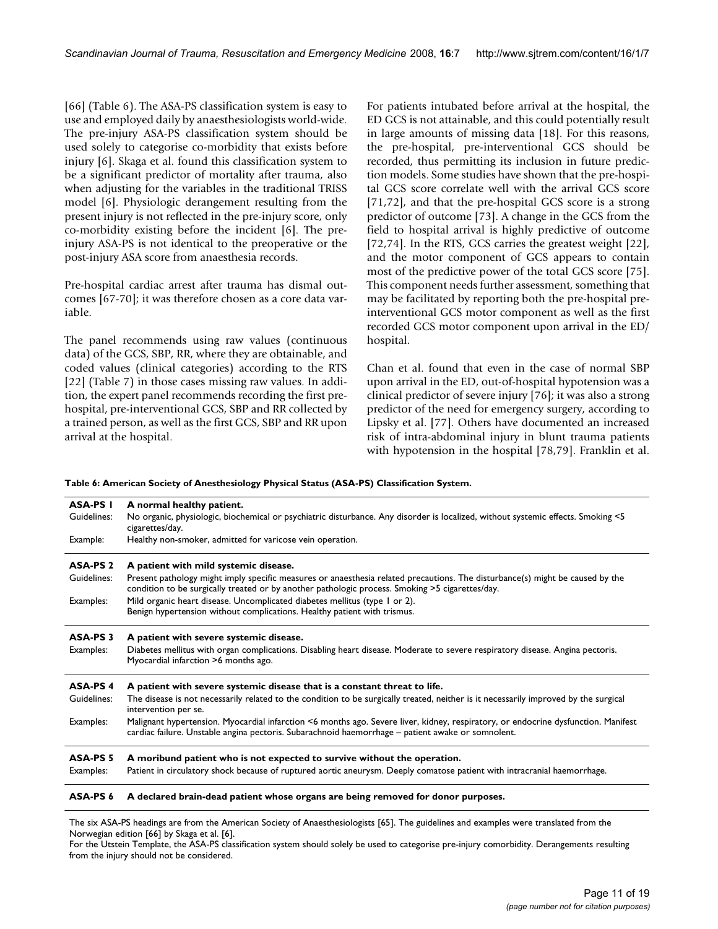[66] (Table 6). The ASA-PS classification system is easy to use and employed daily by anaesthesiologists world-wide. The pre-injury ASA-PS classification system should be used solely to categorise co-morbidity that exists before injury [6]. Skaga et al. found this classification system to be a significant predictor of mortality after trauma, also when adjusting for the variables in the traditional TRISS model [6]. Physiologic derangement resulting from the present injury is not reflected in the pre-injury score, only co-morbidity existing before the incident [6]. The preinjury ASA-PS is not identical to the preoperative or the post-injury ASA score from anaesthesia records.

Pre-hospital cardiac arrest after trauma has dismal outcomes [67-70]; it was therefore chosen as a core data variable.

The panel recommends using raw values (continuous data) of the GCS, SBP, RR, where they are obtainable, and coded values (clinical categories) according to the RTS [22] (Table 7) in those cases missing raw values. In addition, the expert panel recommends recording the first prehospital, pre-interventional GCS, SBP and RR collected by a trained person, as well as the first GCS, SBP and RR upon arrival at the hospital.

For patients intubated before arrival at the hospital, the ED GCS is not attainable, and this could potentially result in large amounts of missing data [18]. For this reasons, the pre-hospital, pre-interventional GCS should be recorded, thus permitting its inclusion in future prediction models. Some studies have shown that the pre-hospital GCS score correlate well with the arrival GCS score [71,72], and that the pre-hospital GCS score is a strong predictor of outcome [73]. A change in the GCS from the field to hospital arrival is highly predictive of outcome [72,74]. In the RTS, GCS carries the greatest weight [22], and the motor component of GCS appears to contain most of the predictive power of the total GCS score [75]. This component needs further assessment, something that may be facilitated by reporting both the pre-hospital preinterventional GCS motor component as well as the first recorded GCS motor component upon arrival in the ED/ hospital.

Chan et al. found that even in the case of normal SBP upon arrival in the ED, out-of-hospital hypotension was a clinical predictor of severe injury [76]; it was also a strong predictor of the need for emergency surgery, according to Lipsky et al. [77]. Others have documented an increased risk of intra-abdominal injury in blunt trauma patients with hypotension in the hospital [78,79]. Franklin et al.

| Table 6: American Society of Anesthesiology Physical Status (ASA-PS) Classification System. |  |  |  |
|---------------------------------------------------------------------------------------------|--|--|--|
|                                                                                             |  |  |  |

| <b>ASA-PSI</b>      | A normal healthy patient.                                                                                                                                                                                                               |
|---------------------|-----------------------------------------------------------------------------------------------------------------------------------------------------------------------------------------------------------------------------------------|
| Guidelines:         | No organic, physiologic, biochemical or psychiatric disturbance. Any disorder is localized, without systemic effects. Smoking <5<br>cigarettes/day.                                                                                     |
| Example:            | Healthy non-smoker, admitted for varicose vein operation.                                                                                                                                                                               |
| ASA-PS <sub>2</sub> | A patient with mild systemic disease.                                                                                                                                                                                                   |
| Guidelines:         | Present pathology might imply specific measures or anaesthesia related precautions. The disturbance(s) might be caused by the<br>condition to be surgically treated or by another pathologic process. Smoking >5 cigarettes/day.        |
| Examples:           | Mild organic heart disease. Uncomplicated diabetes mellitus (type 1 or 2).                                                                                                                                                              |
|                     | Benign hypertension without complications. Healthy patient with trismus.                                                                                                                                                                |
| ASA-PS3             | A patient with severe systemic disease.                                                                                                                                                                                                 |
| Examples:           | Diabetes mellitus with organ complications. Disabling heart disease. Moderate to severe respiratory disease. Angina pectoris.<br>Myocardial infarction >6 months ago.                                                                   |
| <b>ASA-PS4</b>      | A patient with severe systemic disease that is a constant threat to life.                                                                                                                                                               |
| Guidelines:         | The disease is not necessarily related to the condition to be surgically treated, neither is it necessarily improved by the surgical<br>intervention per se.                                                                            |
| Examples:           | Malignant hypertension. Myocardial infarction <6 months ago. Severe liver, kidney, respiratory, or endocrine dysfunction. Manifest<br>cardiac failure. Unstable angina pectoris. Subarachnoid haemorrhage - patient awake or somnolent. |
| <b>ASA-PS 5</b>     | A moribund patient who is not expected to survive without the operation.                                                                                                                                                                |
| Examples:           | Patient in circulatory shock because of ruptured aortic aneurysm. Deeply comatose patient with intracranial haemorrhage.                                                                                                                |
| ASA-PS 6            | A declared brain-dead patient whose organs are being removed for donor purposes.                                                                                                                                                        |

The six ASA-PS headings are from the American Society of Anaesthesiologists [65]. The guidelines and examples were translated from the Norwegian edition [66] by Skaga et al. [6].

For the Utstein Template, the ASA-PS classification system should solely be used to categorise pre-injury comorbidity. Derangements resulting from the injury should not be considered.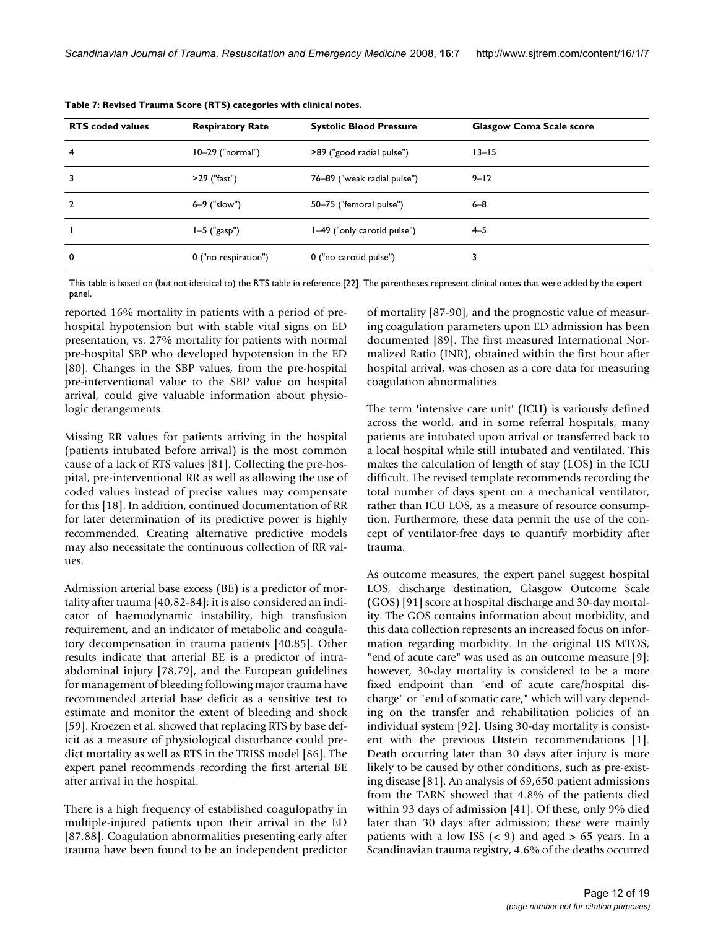| <b>RTS</b> coded values | <b>Respiratory Rate</b> | <b>Systolic Blood Pressure</b> | <b>Glasgow Coma Scale score</b> |
|-------------------------|-------------------------|--------------------------------|---------------------------------|
| 4                       | $10-29$ ("normal")      | >89 ("good radial pulse")      | $13 - 15$                       |
| 3                       | $>29$ ("fast")          | 76–89 ("weak radial pulse")    | $9 - 12$                        |
| 2                       | 6-9 ("slow")            | 50-75 ("femoral pulse")        | $6 - 8$                         |
|                         | $I-5$ ("gasp")          | 1–49 ("only carotid pulse")    | $4 - 5$                         |
| 0                       | 0 ("no respiration")    | 0 ("no carotid pulse")         |                                 |

**Table 7: Revised Trauma Score (RTS) categories with clinical notes.**

This table is based on (but not identical to) the RTS table in reference [22]. The parentheses represent clinical notes that were added by the expert panel.

reported 16% mortality in patients with a period of prehospital hypotension but with stable vital signs on ED presentation, vs. 27% mortality for patients with normal pre-hospital SBP who developed hypotension in the ED [80]. Changes in the SBP values, from the pre-hospital pre-interventional value to the SBP value on hospital arrival, could give valuable information about physiologic derangements.

Missing RR values for patients arriving in the hospital (patients intubated before arrival) is the most common cause of a lack of RTS values [81]. Collecting the pre-hospital, pre-interventional RR as well as allowing the use of coded values instead of precise values may compensate for this [18]. In addition, continued documentation of RR for later determination of its predictive power is highly recommended. Creating alternative predictive models may also necessitate the continuous collection of RR values.

Admission arterial base excess (BE) is a predictor of mortality after trauma [40,82-84]; it is also considered an indicator of haemodynamic instability, high transfusion requirement, and an indicator of metabolic and coagulatory decompensation in trauma patients [40,85]. Other results indicate that arterial BE is a predictor of intraabdominal injury [78,79], and the European guidelines for management of bleeding following major trauma have recommended arterial base deficit as a sensitive test to estimate and monitor the extent of bleeding and shock [59]. Kroezen et al. showed that replacing RTS by base deficit as a measure of physiological disturbance could predict mortality as well as RTS in the TRISS model [86]. The expert panel recommends recording the first arterial BE after arrival in the hospital.

There is a high frequency of established coagulopathy in multiple-injured patients upon their arrival in the ED [87,88]. Coagulation abnormalities presenting early after trauma have been found to be an independent predictor of mortality [87-90], and the prognostic value of measuring coagulation parameters upon ED admission has been documented [89]. The first measured International Normalized Ratio (INR), obtained within the first hour after hospital arrival, was chosen as a core data for measuring coagulation abnormalities.

The term 'intensive care unit' (ICU) is variously defined across the world, and in some referral hospitals, many patients are intubated upon arrival or transferred back to a local hospital while still intubated and ventilated. This makes the calculation of length of stay (LOS) in the ICU difficult. The revised template recommends recording the total number of days spent on a mechanical ventilator, rather than ICU LOS, as a measure of resource consumption. Furthermore, these data permit the use of the concept of ventilator-free days to quantify morbidity after trauma.

As outcome measures, the expert panel suggest hospital LOS, discharge destination, Glasgow Outcome Scale (GOS) [91] score at hospital discharge and 30-day mortality. The GOS contains information about morbidity, and this data collection represents an increased focus on information regarding morbidity. In the original US MTOS, "end of acute care" was used as an outcome measure [9]; however, 30-day mortality is considered to be a more fixed endpoint than "end of acute care/hospital discharge" or "end of somatic care," which will vary depending on the transfer and rehabilitation policies of an individual system [92]. Using 30-day mortality is consistent with the previous Utstein recommendations [1]. Death occurring later than 30 days after injury is more likely to be caused by other conditions, such as pre-existing disease [81]. An analysis of 69,650 patient admissions from the TARN showed that 4.8% of the patients died within 93 days of admission [41]. Of these, only 9% died later than 30 days after admission; these were mainly patients with a low ISS  $(< 9)$  and aged  $> 65$  years. In a Scandinavian trauma registry, 4.6% of the deaths occurred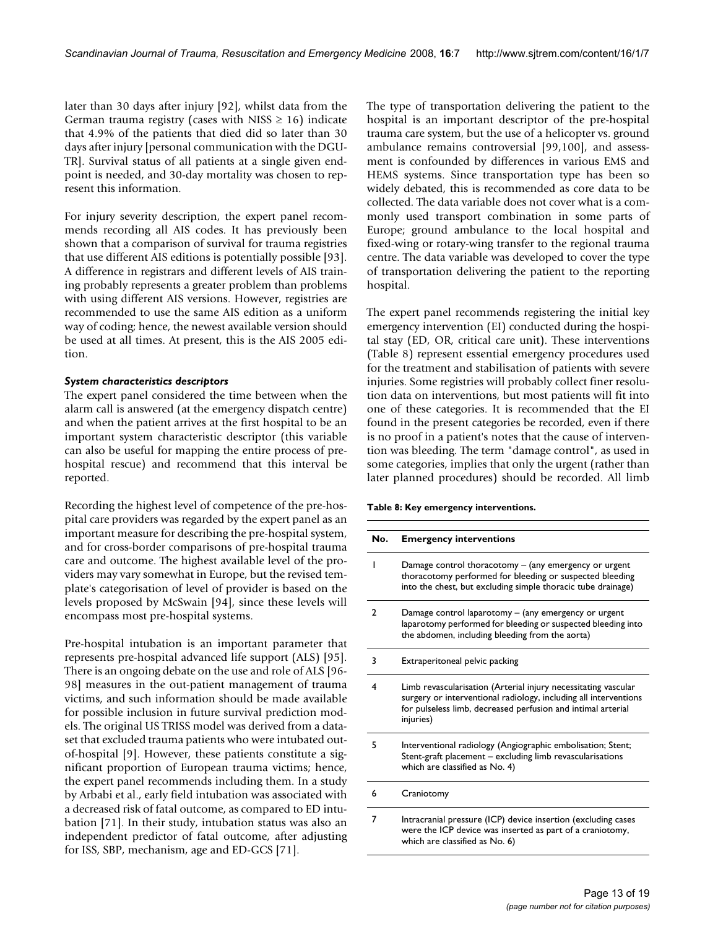later than 30 days after injury [92], whilst data from the German trauma registry (cases with NISS  $\geq$  16) indicate that 4.9% of the patients that died did so later than 30 days after injury [personal communication with the DGU-TR]. Survival status of all patients at a single given endpoint is needed, and 30-day mortality was chosen to represent this information.

For injury severity description, the expert panel recommends recording all AIS codes. It has previously been shown that a comparison of survival for trauma registries that use different AIS editions is potentially possible [93]. A difference in registrars and different levels of AIS training probably represents a greater problem than problems with using different AIS versions. However, registries are recommended to use the same AIS edition as a uniform way of coding; hence, the newest available version should be used at all times. At present, this is the AIS 2005 edition.

#### *System characteristics descriptors*

The expert panel considered the time between when the alarm call is answered (at the emergency dispatch centre) and when the patient arrives at the first hospital to be an important system characteristic descriptor (this variable can also be useful for mapping the entire process of prehospital rescue) and recommend that this interval be reported.

Recording the highest level of competence of the pre-hospital care providers was regarded by the expert panel as an important measure for describing the pre-hospital system, and for cross-border comparisons of pre-hospital trauma care and outcome. The highest available level of the providers may vary somewhat in Europe, but the revised template's categorisation of level of provider is based on the levels proposed by McSwain [94], since these levels will encompass most pre-hospital systems.

Pre-hospital intubation is an important parameter that represents pre-hospital advanced life support (ALS) [95]. There is an ongoing debate on the use and role of ALS [96- 98] measures in the out-patient management of trauma victims, and such information should be made available for possible inclusion in future survival prediction models. The original US TRISS model was derived from a dataset that excluded trauma patients who were intubated outof-hospital [9]. However, these patients constitute a significant proportion of European trauma victims; hence, the expert panel recommends including them. In a study by Arbabi et al., early field intubation was associated with a decreased risk of fatal outcome, as compared to ED intubation [71]. In their study, intubation status was also an independent predictor of fatal outcome, after adjusting for ISS, SBP, mechanism, age and ED-GCS [71].

The type of transportation delivering the patient to the hospital is an important descriptor of the pre-hospital trauma care system, but the use of a helicopter vs. ground ambulance remains controversial [99,100], and assessment is confounded by differences in various EMS and HEMS systems. Since transportation type has been so widely debated, this is recommended as core data to be collected. The data variable does not cover what is a commonly used transport combination in some parts of Europe; ground ambulance to the local hospital and fixed-wing or rotary-wing transfer to the regional trauma centre. The data variable was developed to cover the type of transportation delivering the patient to the reporting hospital.

The expert panel recommends registering the initial key emergency intervention (EI) conducted during the hospital stay (ED, OR, critical care unit). These interventions (Table 8) represent essential emergency procedures used for the treatment and stabilisation of patients with severe injuries. Some registries will probably collect finer resolution data on interventions, but most patients will fit into one of these categories. It is recommended that the EI found in the present categories be recorded, even if there is no proof in a patient's notes that the cause of intervention was bleeding. The term "damage control", as used in some categories, implies that only the urgent (rather than later planned procedures) should be recorded. All limb

|  |  |  | Table 8: Key emergency interventions. |  |  |
|--|--|--|---------------------------------------|--|--|
|--|--|--|---------------------------------------|--|--|

| No.           | <b>Emergency interventions</b>                                                                                                                                                                                  |
|---------------|-----------------------------------------------------------------------------------------------------------------------------------------------------------------------------------------------------------------|
| ı             | Damage control thoracotomy $-$ (any emergency or urgent<br>thoracotomy performed for bleeding or suspected bleeding<br>into the chest, but excluding simple thoracic tube drainage)                             |
| $\mathcal{P}$ | Damage control laparotomy $-$ (any emergency or urgent<br>laparotomy performed for bleeding or suspected bleeding into<br>the abdomen, including bleeding from the aorta)                                       |
| 3             | Extraperitoneal pelvic packing                                                                                                                                                                                  |
| 4             | Limb revascularisation (Arterial injury necessitating vascular<br>surgery or interventional radiology, including all interventions<br>for pulseless limb, decreased perfusion and intimal arterial<br>injuries) |
| 5             | Interventional radiology (Angiographic embolisation; Stent;<br>Stent-graft placement - excluding limb revascularisations<br>which are classified as No. 4)                                                      |
| 6             | Craniotomy                                                                                                                                                                                                      |
| 7             | Intracranial pressure (ICP) device insertion (excluding cases<br>were the ICP device was inserted as part of a craniotomy,<br>which are classified as No. 6)                                                    |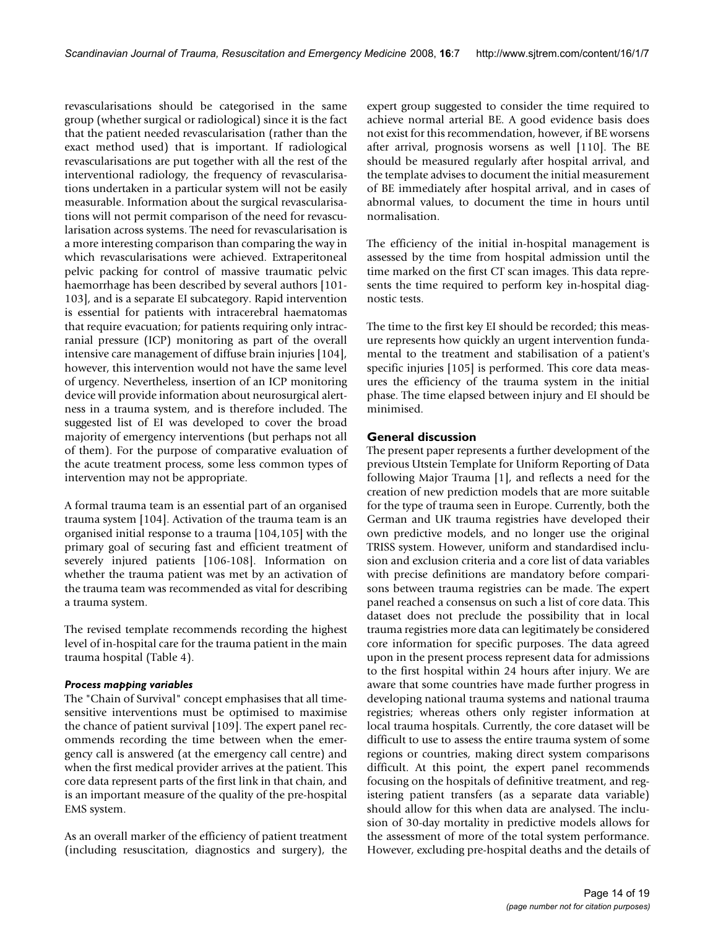revascularisations should be categorised in the same group (whether surgical or radiological) since it is the fact that the patient needed revascularisation (rather than the exact method used) that is important. If radiological revascularisations are put together with all the rest of the interventional radiology, the frequency of revascularisations undertaken in a particular system will not be easily measurable. Information about the surgical revascularisations will not permit comparison of the need for revascularisation across systems. The need for revascularisation is a more interesting comparison than comparing the way in which revascularisations were achieved. Extraperitoneal pelvic packing for control of massive traumatic pelvic haemorrhage has been described by several authors [101- 103], and is a separate EI subcategory. Rapid intervention is essential for patients with intracerebral haematomas that require evacuation; for patients requiring only intracranial pressure (ICP) monitoring as part of the overall intensive care management of diffuse brain injuries [104], however, this intervention would not have the same level of urgency. Nevertheless, insertion of an ICP monitoring device will provide information about neurosurgical alertness in a trauma system, and is therefore included. The suggested list of EI was developed to cover the broad majority of emergency interventions (but perhaps not all of them). For the purpose of comparative evaluation of the acute treatment process, some less common types of intervention may not be appropriate.

A formal trauma team is an essential part of an organised trauma system [104]. Activation of the trauma team is an organised initial response to a trauma [104,105] with the primary goal of securing fast and efficient treatment of severely injured patients [106-108]. Information on whether the trauma patient was met by an activation of the trauma team was recommended as vital for describing a trauma system.

The revised template recommends recording the highest level of in-hospital care for the trauma patient in the main trauma hospital (Table 4).

## *Process mapping variables*

The "Chain of Survival" concept emphasises that all timesensitive interventions must be optimised to maximise the chance of patient survival [109]. The expert panel recommends recording the time between when the emergency call is answered (at the emergency call centre) and when the first medical provider arrives at the patient. This core data represent parts of the first link in that chain, and is an important measure of the quality of the pre-hospital EMS system.

As an overall marker of the efficiency of patient treatment (including resuscitation, diagnostics and surgery), the expert group suggested to consider the time required to achieve normal arterial BE. A good evidence basis does not exist for this recommendation, however, if BE worsens after arrival, prognosis worsens as well [110]. The BE should be measured regularly after hospital arrival, and the template advises to document the initial measurement of BE immediately after hospital arrival, and in cases of abnormal values, to document the time in hours until normalisation.

The efficiency of the initial in-hospital management is assessed by the time from hospital admission until the time marked on the first CT scan images. This data represents the time required to perform key in-hospital diagnostic tests.

The time to the first key EI should be recorded; this measure represents how quickly an urgent intervention fundamental to the treatment and stabilisation of a patient's specific injuries [105] is performed. This core data measures the efficiency of the trauma system in the initial phase. The time elapsed between injury and EI should be minimised.

# **General discussion**

The present paper represents a further development of the previous Utstein Template for Uniform Reporting of Data following Major Trauma [1], and reflects a need for the creation of new prediction models that are more suitable for the type of trauma seen in Europe. Currently, both the German and UK trauma registries have developed their own predictive models, and no longer use the original TRISS system. However, uniform and standardised inclusion and exclusion criteria and a core list of data variables with precise definitions are mandatory before comparisons between trauma registries can be made. The expert panel reached a consensus on such a list of core data. This dataset does not preclude the possibility that in local trauma registries more data can legitimately be considered core information for specific purposes. The data agreed upon in the present process represent data for admissions to the first hospital within 24 hours after injury. We are aware that some countries have made further progress in developing national trauma systems and national trauma registries; whereas others only register information at local trauma hospitals. Currently, the core dataset will be difficult to use to assess the entire trauma system of some regions or countries, making direct system comparisons difficult. At this point, the expert panel recommends focusing on the hospitals of definitive treatment, and registering patient transfers (as a separate data variable) should allow for this when data are analysed. The inclusion of 30-day mortality in predictive models allows for the assessment of more of the total system performance. However, excluding pre-hospital deaths and the details of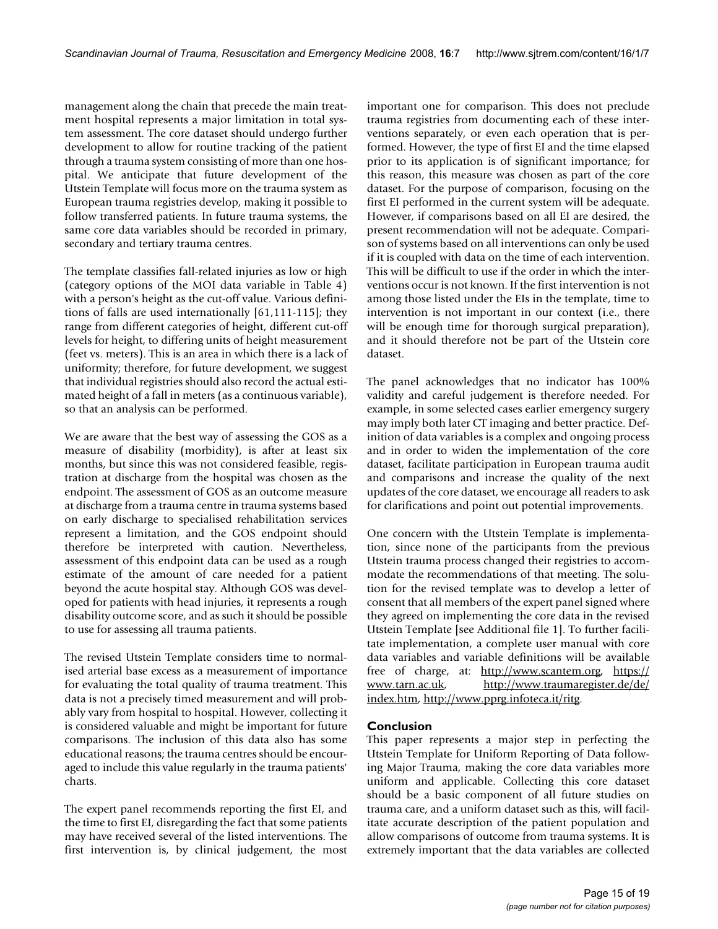management along the chain that precede the main treatment hospital represents a major limitation in total system assessment. The core dataset should undergo further development to allow for routine tracking of the patient through a trauma system consisting of more than one hospital. We anticipate that future development of the Utstein Template will focus more on the trauma system as European trauma registries develop, making it possible to follow transferred patients. In future trauma systems, the same core data variables should be recorded in primary, secondary and tertiary trauma centres.

The template classifies fall-related injuries as low or high (category options of the MOI data variable in Table 4) with a person's height as the cut-off value. Various definitions of falls are used internationally [61,111-115]; they range from different categories of height, different cut-off levels for height, to differing units of height measurement (feet vs. meters). This is an area in which there is a lack of uniformity; therefore, for future development, we suggest that individual registries should also record the actual estimated height of a fall in meters (as a continuous variable), so that an analysis can be performed.

We are aware that the best way of assessing the GOS as a measure of disability (morbidity), is after at least six months, but since this was not considered feasible, registration at discharge from the hospital was chosen as the endpoint. The assessment of GOS as an outcome measure at discharge from a trauma centre in trauma systems based on early discharge to specialised rehabilitation services represent a limitation, and the GOS endpoint should therefore be interpreted with caution. Nevertheless, assessment of this endpoint data can be used as a rough estimate of the amount of care needed for a patient beyond the acute hospital stay. Although GOS was developed for patients with head injuries, it represents a rough disability outcome score, and as such it should be possible to use for assessing all trauma patients.

The revised Utstein Template considers time to normalised arterial base excess as a measurement of importance for evaluating the total quality of trauma treatment. This data is not a precisely timed measurement and will probably vary from hospital to hospital. However, collecting it is considered valuable and might be important for future comparisons. The inclusion of this data also has some educational reasons; the trauma centres should be encouraged to include this value regularly in the trauma patients' charts.

The expert panel recommends reporting the first EI, and the time to first EI, disregarding the fact that some patients may have received several of the listed interventions. The first intervention is, by clinical judgement, the most important one for comparison. This does not preclude trauma registries from documenting each of these interventions separately, or even each operation that is performed. However, the type of first EI and the time elapsed prior to its application is of significant importance; for this reason, this measure was chosen as part of the core dataset. For the purpose of comparison, focusing on the first EI performed in the current system will be adequate. However, if comparisons based on all EI are desired, the present recommendation will not be adequate. Comparison of systems based on all interventions can only be used if it is coupled with data on the time of each intervention. This will be difficult to use if the order in which the interventions occur is not known. If the first intervention is not among those listed under the EIs in the template, time to intervention is not important in our context (i.e., there will be enough time for thorough surgical preparation), and it should therefore not be part of the Utstein core dataset.

The panel acknowledges that no indicator has 100% validity and careful judgement is therefore needed. For example, in some selected cases earlier emergency surgery may imply both later CT imaging and better practice. Definition of data variables is a complex and ongoing process and in order to widen the implementation of the core dataset, facilitate participation in European trauma audit and comparisons and increase the quality of the next updates of the core dataset, we encourage all readers to ask for clarifications and point out potential improvements.

One concern with the Utstein Template is implementation, since none of the participants from the previous Utstein trauma process changed their registries to accommodate the recommendations of that meeting. The solution for the revised template was to develop a letter of consent that all members of the expert panel signed where they agreed on implementing the core data in the revised Utstein Template [see Additional file 1]. To further facilitate implementation, a complete user manual with core data variables and variable definitions will be available free of charge, at: <http://www.scantem.org>, [https://](https://www.tarn.ac.uk) [www.tarn.ac.uk,](https://www.tarn.ac.uk) [http://www.traumaregister.de/de/](http://www.traumaregister.de/de/index.htm) [index.htm](http://www.traumaregister.de/de/index.htm),<http://www.pprg.infoteca.it/ritg>.

## **Conclusion**

This paper represents a major step in perfecting the Utstein Template for Uniform Reporting of Data following Major Trauma, making the core data variables more uniform and applicable. Collecting this core dataset should be a basic component of all future studies on trauma care, and a uniform dataset such as this, will facilitate accurate description of the patient population and allow comparisons of outcome from trauma systems. It is extremely important that the data variables are collected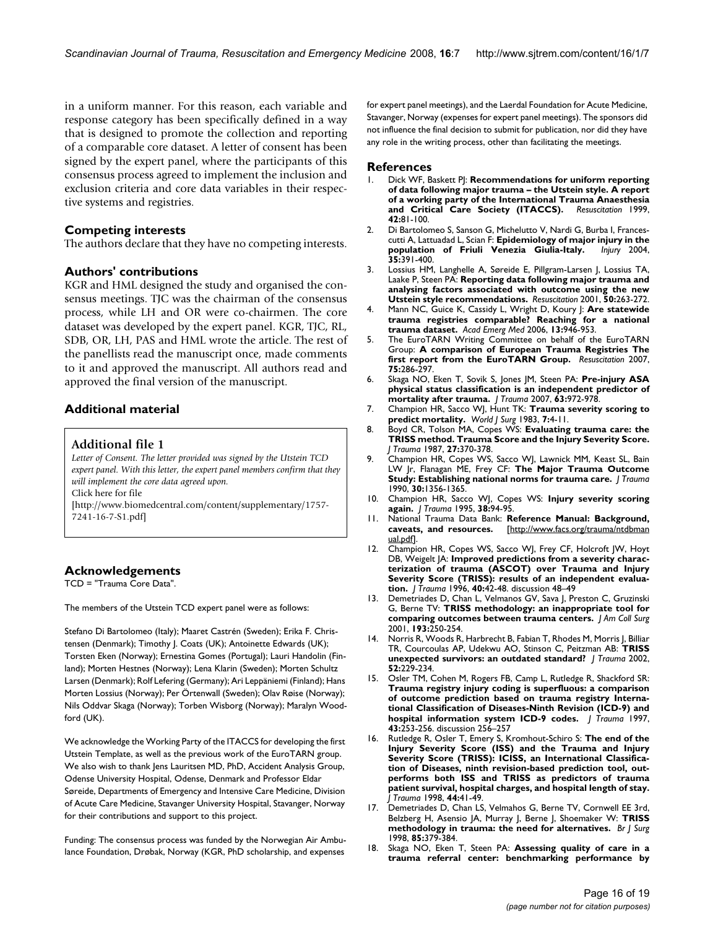in a uniform manner. For this reason, each variable and response category has been specifically defined in a way that is designed to promote the collection and reporting of a comparable core dataset. A letter of consent has been signed by the expert panel, where the participants of this consensus process agreed to implement the inclusion and exclusion criteria and core data variables in their respective systems and registries.

#### **Competing interests**

The authors declare that they have no competing interests.

#### **Authors' contributions**

KGR and HML designed the study and organised the consensus meetings. TJC was the chairman of the consensus process, while LH and OR were co-chairmen. The core dataset was developed by the expert panel. KGR, TJC, RL, SDB, OR, LH, PAS and HML wrote the article. The rest of the panellists read the manuscript once, made comments to it and approved the manuscript. All authors read and approved the final version of the manuscript.

# **Additional material**

#### **Additional file 1**

*Letter of Consent. The letter provided was signed by the Utstein TCD expert panel. With this letter, the expert panel members confirm that they will implement the core data agreed upon.* Click here for file [\[http://www.biomedcentral.com/content/supplementary/1757-](http://www.biomedcentral.com/content/supplementary/1757-7241-16-7-S1.pdf) 7241-16-7-S1.pdf]

# **Acknowledgements**

TCD = "Trauma Core Data".

The members of the Utstein TCD expert panel were as follows:

Stefano Di Bartolomeo (Italy); Maaret Castrén (Sweden); Erika F. Christensen (Denmark); Timothy J. Coats (UK); Antoinette Edwards (UK); Torsten Eken (Norway); Ernestina Gomes (Portugal); Lauri Handolin (Finland); Morten Hestnes (Norway); Lena Klarin (Sweden); Morten Schultz Larsen (Denmark); Rolf Lefering (Germany); Ari Leppäniemi (Finland); Hans Morten Lossius (Norway); Per Örtenwall (Sweden); Olav Røise (Norway); Nils Oddvar Skaga (Norway); Torben Wisborg (Norway); Maralyn Woodford (UK).

We acknowledge the Working Party of the ITACCS for developing the first Utstein Template, as well as the previous work of the EuroTARN group. We also wish to thank Jens Lauritsen MD, PhD, Accident Analysis Group, Odense University Hospital, Odense, Denmark and Professor Eldar Søreide, Departments of Emergency and Intensive Care Medicine, Division of Acute Care Medicine, Stavanger University Hospital, Stavanger, Norway for their contributions and support to this project.

Funding: The consensus process was funded by the Norwegian Air Ambulance Foundation, Drøbak, Norway (KGR, PhD scholarship, and expenses

for expert panel meetings), and the Laerdal Foundation for Acute Medicine, Stavanger, Norway (expenses for expert panel meetings). The sponsors did not influence the final decision to submit for publication, nor did they have any role in the writing process, other than facilitating the meetings.

#### **References**

- 1. Dick WF, Baskett PJ: **[Recommendations for uniform reporting](http://www.ncbi.nlm.nih.gov/entrez/query.fcgi?cmd=Retrieve&db=PubMed&dopt=Abstract&list_uids=10617327) [of data following major trauma – the Utstein style. A report](http://www.ncbi.nlm.nih.gov/entrez/query.fcgi?cmd=Retrieve&db=PubMed&dopt=Abstract&list_uids=10617327) of a working party of the International Trauma Anaesthesia [and Critical Care Society \(ITACCS\).](http://www.ncbi.nlm.nih.gov/entrez/query.fcgi?cmd=Retrieve&db=PubMed&dopt=Abstract&list_uids=10617327)** *Resuscitation* 1999, **42:**81-100.
- 2. Di Bartolomeo S, Sanson G, Michelutto V, Nardi G, Burba I, Francescutti A, Lattuadad L, Scian F: **[Epidemiology of major injury in the](http://www.ncbi.nlm.nih.gov/entrez/query.fcgi?cmd=Retrieve&db=PubMed&dopt=Abstract&list_uids=15037374) [population of Friuli Venezia Giulia-Italy.](http://www.ncbi.nlm.nih.gov/entrez/query.fcgi?cmd=Retrieve&db=PubMed&dopt=Abstract&list_uids=15037374)** *Injury* 2004, **35:**391-400.
- 3. Lossius HM, Langhelle A, Søreide E, Pillgram-Larsen J, Lossius TA, Laake P, Steen PA: **[Reporting data following major trauma and](http://www.ncbi.nlm.nih.gov/entrez/query.fcgi?cmd=Retrieve&db=PubMed&dopt=Abstract&list_uids=11719155) [analysing factors associated with outcome using the new](http://www.ncbi.nlm.nih.gov/entrez/query.fcgi?cmd=Retrieve&db=PubMed&dopt=Abstract&list_uids=11719155) [Utstein style recommendations.](http://www.ncbi.nlm.nih.gov/entrez/query.fcgi?cmd=Retrieve&db=PubMed&dopt=Abstract&list_uids=11719155)** *Resuscitation* 2001, **50:**263-272.
- 4. Mann NC, Guice K, Cassidy L, Wright D, Koury J: **[Are statewide](http://www.ncbi.nlm.nih.gov/entrez/query.fcgi?cmd=Retrieve&db=PubMed&dopt=Abstract&list_uids=16902047) [trauma registries comparable? Reaching for a national](http://www.ncbi.nlm.nih.gov/entrez/query.fcgi?cmd=Retrieve&db=PubMed&dopt=Abstract&list_uids=16902047) [trauma dataset.](http://www.ncbi.nlm.nih.gov/entrez/query.fcgi?cmd=Retrieve&db=PubMed&dopt=Abstract&list_uids=16902047)** *Acad Emerg Med* 2006, **13:**946-953.
- 5. The EuroTARN Writing Committee on behalf of the EuroTARN Group: **[A comparison of European Trauma Registries The](http://www.ncbi.nlm.nih.gov/entrez/query.fcgi?cmd=Retrieve&db=PubMed&dopt=Abstract&list_uids=17714850) [first report from the EuroTARN Group.](http://www.ncbi.nlm.nih.gov/entrez/query.fcgi?cmd=Retrieve&db=PubMed&dopt=Abstract&list_uids=17714850)** *Resuscitation* 2007, **75:**286-297.
- 6. Skaga NO, Eken T, Sovik S, Jones JM, Steen PA: **[Pre-injury ASA](http://www.ncbi.nlm.nih.gov/entrez/query.fcgi?cmd=Retrieve&db=PubMed&dopt=Abstract&list_uids=17993938) [physical status classification is an independent predictor of](http://www.ncbi.nlm.nih.gov/entrez/query.fcgi?cmd=Retrieve&db=PubMed&dopt=Abstract&list_uids=17993938) [mortality after trauma.](http://www.ncbi.nlm.nih.gov/entrez/query.fcgi?cmd=Retrieve&db=PubMed&dopt=Abstract&list_uids=17993938)** *J Trauma* 2007, **63:**972-978.
- 7. Champion HR, Sacco WJ, Hunt TK: **[Trauma severity scoring to](http://www.ncbi.nlm.nih.gov/entrez/query.fcgi?cmd=Retrieve&db=PubMed&dopt=Abstract&list_uids=6837064) [predict mortality.](http://www.ncbi.nlm.nih.gov/entrez/query.fcgi?cmd=Retrieve&db=PubMed&dopt=Abstract&list_uids=6837064)** *World J Surg* 1983, **7:**4-11.
- 8. Boyd CR, Tolson MA, Copes WS: **[Evaluating trauma care: the](http://www.ncbi.nlm.nih.gov/entrez/query.fcgi?cmd=Retrieve&db=PubMed&dopt=Abstract&list_uids=3106646) [TRISS method. Trauma Score and the Injury Severity Score.](http://www.ncbi.nlm.nih.gov/entrez/query.fcgi?cmd=Retrieve&db=PubMed&dopt=Abstract&list_uids=3106646)** *J Trauma* 1987, **27:**370-378.
- 9. Champion HR, Copes WS, Sacco WJ, Lawnick MM, Keast SL, Bain LW Jr, Flanagan ME, Frey CF: **[The Major Trauma Outcome](http://www.ncbi.nlm.nih.gov/entrez/query.fcgi?cmd=Retrieve&db=PubMed&dopt=Abstract&list_uids=2231804) [Study: Establishing national norms for trauma care.](http://www.ncbi.nlm.nih.gov/entrez/query.fcgi?cmd=Retrieve&db=PubMed&dopt=Abstract&list_uids=2231804)** *J Trauma* 1990, **30:**1356-1365.
- 10. Champion HR, Sacco WJ, Copes WS: **[Injury severity scoring](http://www.ncbi.nlm.nih.gov/entrez/query.fcgi?cmd=Retrieve&db=PubMed&dopt=Abstract&list_uids=7745669) [again.](http://www.ncbi.nlm.nih.gov/entrez/query.fcgi?cmd=Retrieve&db=PubMed&dopt=Abstract&list_uids=7745669)** *J Trauma* 1995, **38:**94-95.
- 11. National Trauma Data Bank: **Reference Manual: Background, caveats, and resources.** [\[http://www.facs.org/trauma/ntdbman](http://www.facs.org/trauma/ntdbmanual.pdf) [ual.pdf](http://www.facs.org/trauma/ntdbmanual.pdf)].
- 12. Champion HR, Copes WS, Sacco WJ, Frey CF, Holcroft JW, Hoyt DB, Weigelt JA: **[Improved predictions from a severity charac](http://www.ncbi.nlm.nih.gov/entrez/query.fcgi?cmd=Retrieve&db=PubMed&dopt=Abstract&list_uids=8576997)[terization of trauma \(ASCOT\) over Trauma and Injury](http://www.ncbi.nlm.nih.gov/entrez/query.fcgi?cmd=Retrieve&db=PubMed&dopt=Abstract&list_uids=8576997)** Severity Score (TRISS): results of an independent evalua**[tion.](http://www.ncbi.nlm.nih.gov/entrez/query.fcgi?cmd=Retrieve&db=PubMed&dopt=Abstract&list_uids=8576997)** *J Trauma* 1996, **40:**42-48. discussion 48–49
- 13. Demetriades D, Chan L, Velmanos GV, Sava J, Preston C, Gruzinski G, Berne TV: **[TRISS methodology: an inappropriate tool for](http://www.ncbi.nlm.nih.gov/entrez/query.fcgi?cmd=Retrieve&db=PubMed&dopt=Abstract&list_uids=11548794) [comparing outcomes between trauma centers.](http://www.ncbi.nlm.nih.gov/entrez/query.fcgi?cmd=Retrieve&db=PubMed&dopt=Abstract&list_uids=11548794)** *J Am Coll Surg* 2001, **193:**250-254.
- 14. Norris R, Woods R, Harbrecht B, Fabian T, Rhodes M, Morris J, Billiar TR, Courcoulas AP, Udekwu AO, Stinson C, Peitzman AB: **[TRISS](http://www.ncbi.nlm.nih.gov/entrez/query.fcgi?cmd=Retrieve&db=PubMed&dopt=Abstract&list_uids=11834980) [unexpected survivors: an outdated standard?](http://www.ncbi.nlm.nih.gov/entrez/query.fcgi?cmd=Retrieve&db=PubMed&dopt=Abstract&list_uids=11834980)** *J Trauma* 2002, **52:**229-234.
- 15. Osler TM, Cohen M, Rogers FB, Camp L, Rutledge R, Shackford SR: **[Trauma registry injury coding is superfluous: a comparison](http://www.ncbi.nlm.nih.gov/entrez/query.fcgi?cmd=Retrieve&db=PubMed&dopt=Abstract&list_uids=9291369) of outcome prediction based on trauma registry International Classification of Diseases-Ninth Revision (ICD-9) and [hospital information system ICD-9 codes.](http://www.ncbi.nlm.nih.gov/entrez/query.fcgi?cmd=Retrieve&db=PubMed&dopt=Abstract&list_uids=9291369)** *J Trauma* 1997, **43:**253-256. discussion 256–257
- 16. Rutledge R, Osler T, Emery S, Kromhout-Schiro S: **[The end of the](http://www.ncbi.nlm.nih.gov/entrez/query.fcgi?cmd=Retrieve&db=PubMed&dopt=Abstract&list_uids=9464748) [Injury Severity Score \(ISS\) and the Trauma and Injury](http://www.ncbi.nlm.nih.gov/entrez/query.fcgi?cmd=Retrieve&db=PubMed&dopt=Abstract&list_uids=9464748)** Severity Score (TRISS): ICISS, an International Classifica**tion of Diseases, ninth revision-based prediction tool, outperforms both ISS and TRISS as predictors of trauma patient survival, hospital charges, and hospital length of stay.** *J Trauma* 1998, **44:**41-49.
- 17. Demetriades D, Chan LS, Velmahos G, Berne TV, Cornwell EE 3rd, Belzberg H, Asensio JA, Murray J, Berne J, Shoemaker W: **[TRISS](http://www.ncbi.nlm.nih.gov/entrez/query.fcgi?cmd=Retrieve&db=PubMed&dopt=Abstract&list_uids=9529498) [methodology in trauma: the need for alternatives.](http://www.ncbi.nlm.nih.gov/entrez/query.fcgi?cmd=Retrieve&db=PubMed&dopt=Abstract&list_uids=9529498)** *Br J Surg* 1998, **85:**379-384.
- 18. Skaga NO, Eken T, Steen PA: **[Assessing quality of care in a](http://www.ncbi.nlm.nih.gov/entrez/query.fcgi?cmd=Retrieve&db=PubMed&dopt=Abstract&list_uids=16531851) [trauma referral center: benchmarking performance by](http://www.ncbi.nlm.nih.gov/entrez/query.fcgi?cmd=Retrieve&db=PubMed&dopt=Abstract&list_uids=16531851)**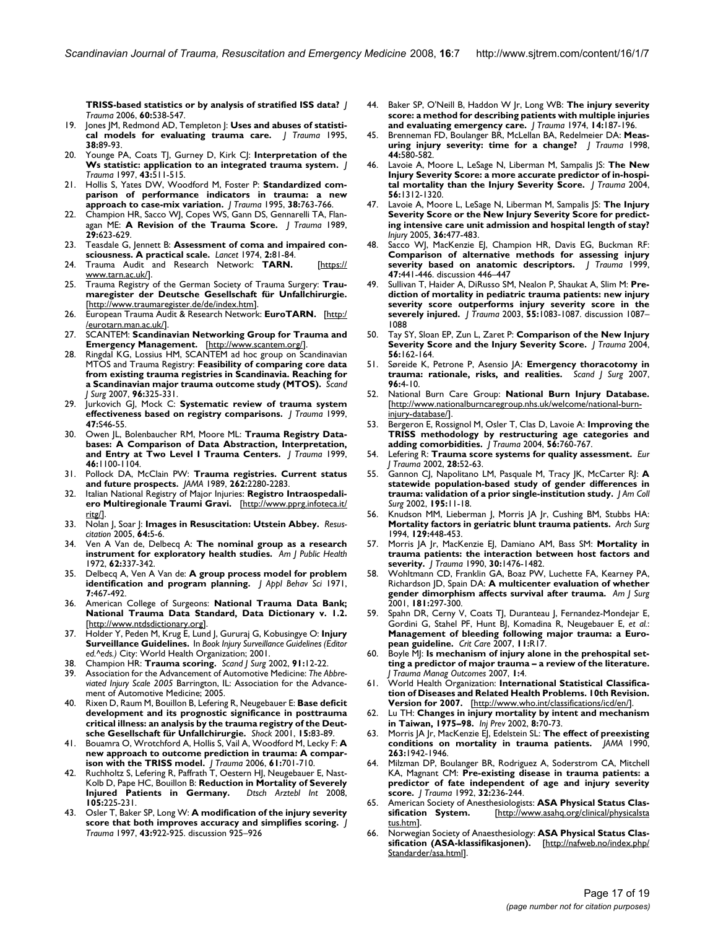**[TRISS-based statistics or by analysis of stratified ISS data?](http://www.ncbi.nlm.nih.gov/entrez/query.fcgi?cmd=Retrieve&db=PubMed&dopt=Abstract&list_uids=16531851)** *J Trauma* 2006, **60:**538-547.

- 19. Jones JM, Redmond AD, Templeton J: **[Uses and abuses of statisti](http://www.ncbi.nlm.nih.gov/entrez/query.fcgi?cmd=Retrieve&db=PubMed&dopt=Abstract&list_uids=7745668)[cal models for evaluating trauma care.](http://www.ncbi.nlm.nih.gov/entrez/query.fcgi?cmd=Retrieve&db=PubMed&dopt=Abstract&list_uids=7745668)** *J Trauma* 1995, **38:**89-93.
- 20. Younge PA, Coats TJ, Gurney D, Kirk CJ: **[Interpretation of the](http://www.ncbi.nlm.nih.gov/entrez/query.fcgi?cmd=Retrieve&db=PubMed&dopt=Abstract&list_uids=9314317) [Ws statistic: application to an integrated trauma system.](http://www.ncbi.nlm.nih.gov/entrez/query.fcgi?cmd=Retrieve&db=PubMed&dopt=Abstract&list_uids=9314317)** *J Trauma* 1997, **43:**511-515.
- 21. Hollis S, Yates DW, Woodford M, Foster P: **[Standardized com](http://www.ncbi.nlm.nih.gov/entrez/query.fcgi?cmd=Retrieve&db=PubMed&dopt=Abstract&list_uids=7760406)[parison of performance indicators in trauma: a new](http://www.ncbi.nlm.nih.gov/entrez/query.fcgi?cmd=Retrieve&db=PubMed&dopt=Abstract&list_uids=7760406) [approach to case-mix variation.](http://www.ncbi.nlm.nih.gov/entrez/query.fcgi?cmd=Retrieve&db=PubMed&dopt=Abstract&list_uids=7760406)** *J Trauma* 1995, **38:**763-766.
- 22. Champion HR, Sacco WJ, Copes WS, Gann DS, Gennarelli TA, Flanagan ME: **[A Revision of the Trauma Score.](http://www.ncbi.nlm.nih.gov/entrez/query.fcgi?cmd=Retrieve&db=PubMed&dopt=Abstract&list_uids=2657085)** *J Trauma* 1989, **29:**623-629.
- 23. Teasdale G, Jennett B: **[Assessment of coma and impaired con](http://www.ncbi.nlm.nih.gov/entrez/query.fcgi?cmd=Retrieve&db=PubMed&dopt=Abstract&list_uids=4136544)[sciousness. A practical scale.](http://www.ncbi.nlm.nih.gov/entrez/query.fcgi?cmd=Retrieve&db=PubMed&dopt=Abstract&list_uids=4136544)** *Lancet* 1974, **2:**81-84.
- Trauma Audit and Research Network: TARN. [\[https://](https://www.tarn.ac.uk/) [www.tarn.ac.uk/\]](https://www.tarn.ac.uk/).
- 25. Trauma Registry of the German Society of Trauma Surgery: **Traumaregister der Deutsche Gesellschaft für Unfallchirurgie.** [<http://www.traumaregister.de/de/index.htm>].
- 26. European Trauma Audit & Research Network: **EuroTARN.** [[http:/](http://eurotarn.man.ac.uk/) [/eurotarn.man.ac.uk/\]](http://eurotarn.man.ac.uk/).
- 27. SCANTEM: **Scandinavian Networking Group for Trauma and Emergency Management.** [\[http://www.scantem.org/](http://www.scantem.org/)].
- 28. Ringdal KG, Lossius HM, SCANTEM ad hoc group on Scandinavian MTOS and Trauma Registry: **[Feasibility of comparing core data](http://www.ncbi.nlm.nih.gov/entrez/query.fcgi?cmd=Retrieve&db=PubMed&dopt=Abstract&list_uids=18265862) [from existing trauma registries in Scandinavia. Reaching for](http://www.ncbi.nlm.nih.gov/entrez/query.fcgi?cmd=Retrieve&db=PubMed&dopt=Abstract&list_uids=18265862) [a Scandinavian major trauma outcome study \(MTOS\).](http://www.ncbi.nlm.nih.gov/entrez/query.fcgi?cmd=Retrieve&db=PubMed&dopt=Abstract&list_uids=18265862)** *Scand J Surg* 2007, **96:**325-331.
- 29. Jurkovich GJ, Mock C: **[Systematic review of trauma system](http://www.ncbi.nlm.nih.gov/entrez/query.fcgi?cmd=Retrieve&db=PubMed&dopt=Abstract&list_uids=10496611) [effectiveness based on registry comparisons.](http://www.ncbi.nlm.nih.gov/entrez/query.fcgi?cmd=Retrieve&db=PubMed&dopt=Abstract&list_uids=10496611)** *J Trauma* 1999, **47:**S46-55.
- 30. Owen JL, Bolenbaucher RM, Moore ML: **[Trauma Registry Data](http://www.ncbi.nlm.nih.gov/entrez/query.fcgi?cmd=Retrieve&db=PubMed&dopt=Abstract&list_uids=10372634)[bases: A Comparison of Data Abstraction, Interpretation,](http://www.ncbi.nlm.nih.gov/entrez/query.fcgi?cmd=Retrieve&db=PubMed&dopt=Abstract&list_uids=10372634) [and Entry at Two Level I Trauma Centers.](http://www.ncbi.nlm.nih.gov/entrez/query.fcgi?cmd=Retrieve&db=PubMed&dopt=Abstract&list_uids=10372634)** *J Trauma* 1999, **46:**1100-1104.
- 31. Pollock DA, McClain PW: **[Trauma registries. Current status](http://www.ncbi.nlm.nih.gov/entrez/query.fcgi?cmd=Retrieve&db=PubMed&dopt=Abstract&list_uids=2795811) [and future prospects.](http://www.ncbi.nlm.nih.gov/entrez/query.fcgi?cmd=Retrieve&db=PubMed&dopt=Abstract&list_uids=2795811)** *JAMA* 1989, **262:**2280-2283.
- 32. Italian National Registry of Major Injuries: **Registro Intraospedaliero Multiregionale Traumi Gravi.** [\[http://www.pprg.infoteca.it/](http://www.pprg.infoteca.it/ritg/) [ritg/](http://www.pprg.infoteca.it/ritg/)].
- 33. Nolan J, Soar J: **Images in Resuscitation: Utstein Abbey.** *Resuscitation* 2005, **64:**5-6.
- 34. Ven A Van de, Delbecq A: **[The nominal group as a research](http://www.ncbi.nlm.nih.gov/entrez/query.fcgi?cmd=Retrieve&db=PubMed&dopt=Abstract&list_uids=5011164) [instrument for exploratory health studies.](http://www.ncbi.nlm.nih.gov/entrez/query.fcgi?cmd=Retrieve&db=PubMed&dopt=Abstract&list_uids=5011164)** *Am J Public Health* 1972, **62:**337-342.
- 35. Delbecq A, Ven A Van de: **A group process model for problem identification and program planning.** *J Appl Behav Sci* 1971, **7:**467-492.
- 36. American College of Surgeons: **National Trauma Data Bank; National Trauma Data Standard, Data Dictionary v. 1.2.** [<http://www.ntdsdictionary.org>].
- 37. Holder Y, Peden M, Krug E, Lund J, Gururaj G, Kobusingye O: **Injury Surveillance Guidelines.** In *Book Injury Surveillance Guidelines (Editor ed.^eds.)* City: World Health Organization; 2001.
- 38. Champion HR: **[Trauma scoring.](http://www.ncbi.nlm.nih.gov/entrez/query.fcgi?cmd=Retrieve&db=PubMed&dopt=Abstract&list_uids=12075830)** *Scand J Surg* 2002, **91:**12-22.
- 39. Association for the Advancement of Automotive Medicine: *The Abbreviated Injury Scale 2005* Barrington, IL: Association for the Advancement of Automotive Medicine; 2005.
- 40. Rixen D, Raum M, Bouillon B, Lefering R, Neugebauer E: **[Base deficit](http://www.ncbi.nlm.nih.gov/entrez/query.fcgi?cmd=Retrieve&db=PubMed&dopt=Abstract&list_uids=11220646) [development and its prognostic significance in posttrauma](http://www.ncbi.nlm.nih.gov/entrez/query.fcgi?cmd=Retrieve&db=PubMed&dopt=Abstract&list_uids=11220646) critical illness: an analysis by the trauma registry of the Deut[sche Gesellschaft für Unfallchirurgie.](http://www.ncbi.nlm.nih.gov/entrez/query.fcgi?cmd=Retrieve&db=PubMed&dopt=Abstract&list_uids=11220646)** *Shock* 2001, **15:**83-89.
- 41. Bouamra O, Wrotchford A, Hollis S, Vail A, Woodford M, Lecky F: **[A](http://www.ncbi.nlm.nih.gov/entrez/query.fcgi?cmd=Retrieve&db=PubMed&dopt=Abstract&list_uids=16967011) [new approach to outcome prediction in trauma: A compar](http://www.ncbi.nlm.nih.gov/entrez/query.fcgi?cmd=Retrieve&db=PubMed&dopt=Abstract&list_uids=16967011)[ison with the TRISS model.](http://www.ncbi.nlm.nih.gov/entrez/query.fcgi?cmd=Retrieve&db=PubMed&dopt=Abstract&list_uids=16967011)** *J Trauma* 2006, **61:**701-710.
- 42. Ruchholtz S, Lefering R, Paffrath T, Oestern HJ, Neugebauer E, Nast-Kolb D, Pape HC, Bouillon B: **Reduction in Mortality of Severely Injured Patients in Germany.** *Dtsch Arztebl Int* 2008, **105:**225-231.
- 43. Osler T, Baker SP, Long W: **[A modification of the injury severity](http://www.ncbi.nlm.nih.gov/entrez/query.fcgi?cmd=Retrieve&db=PubMed&dopt=Abstract&list_uids=9420106) [score that both improves accuracy and simplifies scoring.](http://www.ncbi.nlm.nih.gov/entrez/query.fcgi?cmd=Retrieve&db=PubMed&dopt=Abstract&list_uids=9420106)** *J Trauma* 1997, **43:**922-925. discussion 925–926
- 44. Baker SP, O'Neill B, Haddon W Jr, Long WB: **[The injury severity](http://www.ncbi.nlm.nih.gov/entrez/query.fcgi?cmd=Retrieve&db=PubMed&dopt=Abstract&list_uids=4814394) [score: a method for describing patients with multiple injuries](http://www.ncbi.nlm.nih.gov/entrez/query.fcgi?cmd=Retrieve&db=PubMed&dopt=Abstract&list_uids=4814394) [and evaluating emergency care.](http://www.ncbi.nlm.nih.gov/entrez/query.fcgi?cmd=Retrieve&db=PubMed&dopt=Abstract&list_uids=4814394)** *J Trauma* 1974, **14:**187-196.
- 45. Brenneman FD, Boulanger BR, McLellan BA, Redelmeier DA: **[Meas](http://www.ncbi.nlm.nih.gov/entrez/query.fcgi?cmd=Retrieve&db=PubMed&dopt=Abstract&list_uids=9555825)[uring injury severity: time for a change?](http://www.ncbi.nlm.nih.gov/entrez/query.fcgi?cmd=Retrieve&db=PubMed&dopt=Abstract&list_uids=9555825)** *J Trauma* 1998, **44:**580-582.
- 46. Lavoie A, Moore L, LeSage N, Liberman M, Sampalis JS: **[The New](http://www.ncbi.nlm.nih.gov/entrez/query.fcgi?cmd=Retrieve&db=PubMed&dopt=Abstract&list_uids=15211142) [Injury Severity Score: a more accurate predictor of in-hospi](http://www.ncbi.nlm.nih.gov/entrez/query.fcgi?cmd=Retrieve&db=PubMed&dopt=Abstract&list_uids=15211142)[tal mortality than the Injury Severity Score.](http://www.ncbi.nlm.nih.gov/entrez/query.fcgi?cmd=Retrieve&db=PubMed&dopt=Abstract&list_uids=15211142)** *J Trauma* 2004, **56:**1312-1320.
- 47. Lavoie A, Moore L, LeSage N, Liberman M, Sampalis JS: **[The Injury](http://www.ncbi.nlm.nih.gov/entrez/query.fcgi?cmd=Retrieve&db=PubMed&dopt=Abstract&list_uids=15755427) [Severity Score or the New Injury Severity Score for predict](http://www.ncbi.nlm.nih.gov/entrez/query.fcgi?cmd=Retrieve&db=PubMed&dopt=Abstract&list_uids=15755427)ing intensive care unit admission and hospital length of stay?** *Injury* 2005, **36:**477-483.
- 48. Sacco WJ, MacKenzie EJ, Champion HR, Davis EG, Buckman RF: **[Comparison of alternative methods for assessing injury](http://www.ncbi.nlm.nih.gov/entrez/query.fcgi?cmd=Retrieve&db=PubMed&dopt=Abstract&list_uids=10498295) [severity based on anatomic descriptors.](http://www.ncbi.nlm.nih.gov/entrez/query.fcgi?cmd=Retrieve&db=PubMed&dopt=Abstract&list_uids=10498295)** *J Trauma* 1999, **47:**441-446. discussion 446–447
- 49. Sullivan T, Haider A, DiRusso SM, Nealon P, Shaukat A, Slim M: **[Pre](http://www.ncbi.nlm.nih.gov/entrez/query.fcgi?cmd=Retrieve&db=PubMed&dopt=Abstract&list_uids=14676655)[diction of mortality in pediatric trauma patients: new injury](http://www.ncbi.nlm.nih.gov/entrez/query.fcgi?cmd=Retrieve&db=PubMed&dopt=Abstract&list_uids=14676655) severity score outperforms injury severity score in the [severely injured.](http://www.ncbi.nlm.nih.gov/entrez/query.fcgi?cmd=Retrieve&db=PubMed&dopt=Abstract&list_uids=14676655)** *J Trauma* 2003, **55:**1083-1087. discussion 1087– 1088
- 50. Tay SY, Sloan EP, Zun L, Zaret P: **[Comparison of the New Injury](http://www.ncbi.nlm.nih.gov/entrez/query.fcgi?cmd=Retrieve&db=PubMed&dopt=Abstract&list_uids=14749583) [Severity Score and the Injury Severity Score.](http://www.ncbi.nlm.nih.gov/entrez/query.fcgi?cmd=Retrieve&db=PubMed&dopt=Abstract&list_uids=14749583)** *J Trauma* 2004, **56:**162-164.
- 51. Søreide K, Petrone P, Asensio JA: **[Emergency thoracotomy in](http://www.ncbi.nlm.nih.gov/entrez/query.fcgi?cmd=Retrieve&db=PubMed&dopt=Abstract&list_uids=17461305) [trauma: rationale, risks, and realities.](http://www.ncbi.nlm.nih.gov/entrez/query.fcgi?cmd=Retrieve&db=PubMed&dopt=Abstract&list_uids=17461305)** *Scand J Surg* 2007, **96:**4-10.
- 52. National Burn Care Group: **National Burn Injury Database.** [[http://www.nationalburncaregroup.nhs.uk/welcome/national-burn](http://www.nationalburncaregroup.nhs.uk/welcome/national-burn-injury-database/)[injury-database/\]](http://www.nationalburncaregroup.nhs.uk/welcome/national-burn-injury-database/).
- 53. Bergeron E, Rossignol M, Osler T, Clas D, Lavoie A: **[Improving the](http://www.ncbi.nlm.nih.gov/entrez/query.fcgi?cmd=Retrieve&db=PubMed&dopt=Abstract&list_uids=15187738) [TRISS methodology by restructuring age categories and](http://www.ncbi.nlm.nih.gov/entrez/query.fcgi?cmd=Retrieve&db=PubMed&dopt=Abstract&list_uids=15187738) [adding comorbidities.](http://www.ncbi.nlm.nih.gov/entrez/query.fcgi?cmd=Retrieve&db=PubMed&dopt=Abstract&list_uids=15187738)** *J Trauma* 2004, **56:**760-767.
- 54. Lefering R: **Trauma score systems for quality assessment.** *Eur J Trauma* 2002, **28:**52-63.
- 55. Gannon CJ, Napolitano LM, Pasquale M, Tracy JK, McCarter RJ: **[A](http://www.ncbi.nlm.nih.gov/entrez/query.fcgi?cmd=Retrieve&db=PubMed&dopt=Abstract&list_uids=12113534) [statewide population-based study of gender differences in](http://www.ncbi.nlm.nih.gov/entrez/query.fcgi?cmd=Retrieve&db=PubMed&dopt=Abstract&list_uids=12113534) [trauma: validation of a prior single-institution study.](http://www.ncbi.nlm.nih.gov/entrez/query.fcgi?cmd=Retrieve&db=PubMed&dopt=Abstract&list_uids=12113534)** *J Am Coll Surg* 2002, **195:**11-18.
- Knudson MM, Lieberman J, Morris JA Jr, Cushing BM, Stubbs HA: **[Mortality factors in geriatric blunt trauma patients.](http://www.ncbi.nlm.nih.gov/entrez/query.fcgi?cmd=Retrieve&db=PubMed&dopt=Abstract&list_uids=8154972)** *Arch Surg* 1994, **129:**448-453.
- 57. Morris JA Jr, MacKenzie EJ, Damiano AM, Bass SM: **[Mortality in](http://www.ncbi.nlm.nih.gov/entrez/query.fcgi?cmd=Retrieve&db=PubMed&dopt=Abstract&list_uids=2258958) [trauma patients: the interaction between host factors and](http://www.ncbi.nlm.nih.gov/entrez/query.fcgi?cmd=Retrieve&db=PubMed&dopt=Abstract&list_uids=2258958) [severity.](http://www.ncbi.nlm.nih.gov/entrez/query.fcgi?cmd=Retrieve&db=PubMed&dopt=Abstract&list_uids=2258958)** *J Trauma* 1990, **30:**1476-1482.
- 58. Wohltmann CD, Franklin GA, Boaz PW, Luchette FA, Kearney PA, Richardson JD, Spain DA: **[A multicenter evaluation of whether](http://www.ncbi.nlm.nih.gov/entrez/query.fcgi?cmd=Retrieve&db=PubMed&dopt=Abstract&list_uids=11438262) [gender dimorphism affects survival after trauma.](http://www.ncbi.nlm.nih.gov/entrez/query.fcgi?cmd=Retrieve&db=PubMed&dopt=Abstract&list_uids=11438262)** *Am J Surg* 2001, **181:**297-300.
- 59. Spahn DR, Cerny V, Coats TJ, Duranteau J, Fernandez-Mondejar E, Gordini G, Stahel PF, Hunt BJ, Komadina R, Neugebauer E, *et al.*: **[Management of bleeding following major trauma: a Euro](http://www.ncbi.nlm.nih.gov/entrez/query.fcgi?cmd=Retrieve&db=PubMed&dopt=Abstract&list_uids=17298665)[pean guideline.](http://www.ncbi.nlm.nih.gov/entrez/query.fcgi?cmd=Retrieve&db=PubMed&dopt=Abstract&list_uids=17298665)** *Crit Care* 2007, **11:**R17.
- Boyle M<sub>J</sub>: [Is mechanism of injury alone in the prehospital set](http://www.ncbi.nlm.nih.gov/entrez/query.fcgi?cmd=Retrieve&db=PubMed&dopt=Abstract&list_uids=18271994)**[ting a predictor of major trauma – a review of the literature.](http://www.ncbi.nlm.nih.gov/entrez/query.fcgi?cmd=Retrieve&db=PubMed&dopt=Abstract&list_uids=18271994)** *J Trauma Manag Outcomes* 2007, **1:**4.
- 61. World Health Organization: **International Statistical Classification of Diseases and Related Health Problems. 10th Revision. Version for 2007.** [\[http://www.who.int/classifications/icd/en/](http://www.who.int/classifications/icd/en/)].
- 62. Lu TH: **[Changes in injury mortality by intent and mechanism](http://www.ncbi.nlm.nih.gov/entrez/query.fcgi?cmd=Retrieve&db=PubMed&dopt=Abstract&list_uids=11928980) [in Taiwan, 1975–98.](http://www.ncbi.nlm.nih.gov/entrez/query.fcgi?cmd=Retrieve&db=PubMed&dopt=Abstract&list_uids=11928980)** *Inj Prev* 2002, **8:**70-73.
- 63. Morris JA Jr, MacKenzie EJ, Edelstein SL: **[The effect of preexisting](http://www.ncbi.nlm.nih.gov/entrez/query.fcgi?cmd=Retrieve&db=PubMed&dopt=Abstract&list_uids=2313871) [conditions on mortality in trauma patients.](http://www.ncbi.nlm.nih.gov/entrez/query.fcgi?cmd=Retrieve&db=PubMed&dopt=Abstract&list_uids=2313871)** *JAMA* 1990, **263:**1942-1946.
- 64. Milzman DP, Boulanger BR, Rodriguez A, Soderstrom CA, Mitchell KA, Magnant CM: **[Pre-existing disease in trauma patients: a](http://www.ncbi.nlm.nih.gov/entrez/query.fcgi?cmd=Retrieve&db=PubMed&dopt=Abstract&list_uids=1740808) [predictor of fate independent of age and injury severity](http://www.ncbi.nlm.nih.gov/entrez/query.fcgi?cmd=Retrieve&db=PubMed&dopt=Abstract&list_uids=1740808) [score.](http://www.ncbi.nlm.nih.gov/entrez/query.fcgi?cmd=Retrieve&db=PubMed&dopt=Abstract&list_uids=1740808)** *J Trauma* 1992, **32:**236-244.
- 65. American Society of Anesthesiologists: **ASA Physical Status Classification System.** [[http://www.asahq.org/clinical/physicalsta](http://www.asahq.org/clinical/physicalstatus.htm) [tus.htm](http://www.asahq.org/clinical/physicalstatus.htm)].
- 66. Norwegian Society of Anaesthesiology: **ASA Physical Status Classification (ASA-klassifikasjonen).** [\[http://nafweb.no/index.php/](http://nafweb.no/index.php/Standarder/asa.html) [Standarder/asa.html](http://nafweb.no/index.php/Standarder/asa.html)].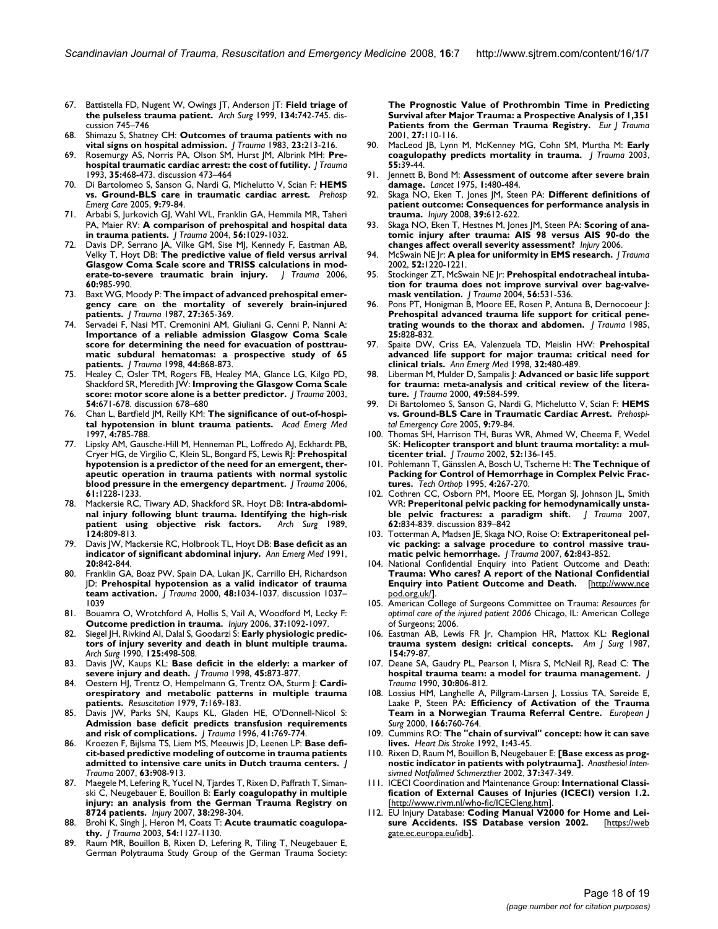- 67. Battistella FD, Nugent W, Owings JT, Anderson JT: **[Field triage of](http://www.ncbi.nlm.nih.gov/entrez/query.fcgi?cmd=Retrieve&db=PubMed&dopt=Abstract&list_uids=10401826) [the pulseless trauma patient.](http://www.ncbi.nlm.nih.gov/entrez/query.fcgi?cmd=Retrieve&db=PubMed&dopt=Abstract&list_uids=10401826)** *Arch Surg* 1999, **134:**742-745. discussion 745–746
- 68. Shimazu S, Shatney CH: **[Outcomes of trauma patients with no](http://www.ncbi.nlm.nih.gov/entrez/query.fcgi?cmd=Retrieve&db=PubMed&dopt=Abstract&list_uids=6834443) [vital signs on hospital admission.](http://www.ncbi.nlm.nih.gov/entrez/query.fcgi?cmd=Retrieve&db=PubMed&dopt=Abstract&list_uids=6834443)** *J Trauma* 1983, **23:**213-216.
- 69. Rosemurgy AS, Norris PA, Olson SM, Hurst JM, Albrink MH: **[Pre](http://www.ncbi.nlm.nih.gov/entrez/query.fcgi?cmd=Retrieve&db=PubMed&dopt=Abstract&list_uids=8371308)[hospital traumatic cardiac arrest: the cost of futility.](http://www.ncbi.nlm.nih.gov/entrez/query.fcgi?cmd=Retrieve&db=PubMed&dopt=Abstract&list_uids=8371308)** *J Trauma* 1993, **35:**468-473. discussion 473–464
- 70. Di Bartolomeo S, Sanson G, Nardi G, Michelutto V, Scian F: **[HEMS](http://www.ncbi.nlm.nih.gov/entrez/query.fcgi?cmd=Retrieve&db=PubMed&dopt=Abstract&list_uids=16036833) [vs. Ground-BLS care in traumatic cardiac arrest.](http://www.ncbi.nlm.nih.gov/entrez/query.fcgi?cmd=Retrieve&db=PubMed&dopt=Abstract&list_uids=16036833)** *Prehosp Emerg Care* 2005, **9:**79-84.
- 71. Arbabi S, Jurkovich GJ, Wahl WL, Franklin GA, Hemmila MR, Taheri PA, Maier RV: **[A comparison of prehospital and hospital data](http://www.ncbi.nlm.nih.gov/entrez/query.fcgi?cmd=Retrieve&db=PubMed&dopt=Abstract&list_uids=15179242) [in trauma patients.](http://www.ncbi.nlm.nih.gov/entrez/query.fcgi?cmd=Retrieve&db=PubMed&dopt=Abstract&list_uids=15179242)** *J Trauma* 2004, **56:**1029-1032.
- 72. Davis DP, Serrano JA, Vilke GM, Sise MJ, Kennedy F, Eastman AB, Velky T, Hoyt DB: **[The predictive value of field versus arrival](http://www.ncbi.nlm.nih.gov/entrez/query.fcgi?cmd=Retrieve&db=PubMed&dopt=Abstract&list_uids=16688059) [Glasgow Coma Scale score and TRISS calculations in mod](http://www.ncbi.nlm.nih.gov/entrez/query.fcgi?cmd=Retrieve&db=PubMed&dopt=Abstract&list_uids=16688059)[erate-to-severe traumatic brain injury.](http://www.ncbi.nlm.nih.gov/entrez/query.fcgi?cmd=Retrieve&db=PubMed&dopt=Abstract&list_uids=16688059)** *J Trauma* 2006, **60:**985-990.
- 73. Baxt WG, Moody P: **[The impact of advanced prehospital emer](http://www.ncbi.nlm.nih.gov/entrez/query.fcgi?cmd=Retrieve&db=PubMed&dopt=Abstract&list_uids=3573084)[gency care on the mortality of severely brain-injured](http://www.ncbi.nlm.nih.gov/entrez/query.fcgi?cmd=Retrieve&db=PubMed&dopt=Abstract&list_uids=3573084) [patients.](http://www.ncbi.nlm.nih.gov/entrez/query.fcgi?cmd=Retrieve&db=PubMed&dopt=Abstract&list_uids=3573084)** *J Trauma* 1987, **27:**365-369.
- 74. Servadei F, Nasi MT, Cremonini AM, Giuliani G, Cenni P, Nanni A: **[Importance of a reliable admission Glasgow Coma Scale](http://www.ncbi.nlm.nih.gov/entrez/query.fcgi?cmd=Retrieve&db=PubMed&dopt=Abstract&list_uids=9603091) score for determining the need for evacuation of posttraumatic subdural hematomas: a prospective study of 65 [patients.](http://www.ncbi.nlm.nih.gov/entrez/query.fcgi?cmd=Retrieve&db=PubMed&dopt=Abstract&list_uids=9603091)** *J Trauma* 1998, **44:**868-873.
- 75. Healey C, Osler TM, Rogers FB, Healey MA, Glance LG, Kilgo PD, Shackford SR, Meredith JW: **[Improving the Glasgow Coma Scale](http://www.ncbi.nlm.nih.gov/entrez/query.fcgi?cmd=Retrieve&db=PubMed&dopt=Abstract&list_uids=12707528) [score: motor score alone is a better predictor.](http://www.ncbi.nlm.nih.gov/entrez/query.fcgi?cmd=Retrieve&db=PubMed&dopt=Abstract&list_uids=12707528)** *J Trauma* 2003, **54:**671-678. discussion 678–680
- 76. Chan L, Bartfield JM, Reilly KM: **[The significance of out-of-hospi](http://www.ncbi.nlm.nih.gov/entrez/query.fcgi?cmd=Retrieve&db=PubMed&dopt=Abstract&list_uids=9262696)[tal hypotension in blunt trauma patients.](http://www.ncbi.nlm.nih.gov/entrez/query.fcgi?cmd=Retrieve&db=PubMed&dopt=Abstract&list_uids=9262696)** *Acad Emerg Med* 1997, **4:**785-788.
- 77. Lipsky AM, Gausche-Hill M, Henneman PL, Loffredo AJ, Eckhardt PB, Cryer HG, de Virgilio C, Klein SL, Bongard FS, Lewis RJ: **[Prehospital](http://www.ncbi.nlm.nih.gov/entrez/query.fcgi?cmd=Retrieve&db=PubMed&dopt=Abstract&list_uids=17099534) [hypotension is a predictor of the need for an emergent, ther](http://www.ncbi.nlm.nih.gov/entrez/query.fcgi?cmd=Retrieve&db=PubMed&dopt=Abstract&list_uids=17099534)apeutic operation in trauma patients with normal systolic [blood pressure in the emergency department.](http://www.ncbi.nlm.nih.gov/entrez/query.fcgi?cmd=Retrieve&db=PubMed&dopt=Abstract&list_uids=17099534)** *J Trauma* 2006, **61:**1228-1233.
- 78. Mackersie RC, Tiwary AD, Shackford SR, Hoyt DB: **[Intra-abdomi](http://www.ncbi.nlm.nih.gov/entrez/query.fcgi?cmd=Retrieve&db=PubMed&dopt=Abstract&list_uids=2742481)[nal injury following blunt trauma. Identifying the high-risk](http://www.ncbi.nlm.nih.gov/entrez/query.fcgi?cmd=Retrieve&db=PubMed&dopt=Abstract&list_uids=2742481) [patient using objective risk factors.](http://www.ncbi.nlm.nih.gov/entrez/query.fcgi?cmd=Retrieve&db=PubMed&dopt=Abstract&list_uids=2742481)** *Arch Surg* 1989, **124:**809-813.
- 79. Davis JW, Mackersie RC, Holbrook TL, Hoyt DB: **[Base deficit as an](http://www.ncbi.nlm.nih.gov/entrez/query.fcgi?cmd=Retrieve&db=PubMed&dopt=Abstract&list_uids=1854065) [indicator of significant abdominal injury.](http://www.ncbi.nlm.nih.gov/entrez/query.fcgi?cmd=Retrieve&db=PubMed&dopt=Abstract&list_uids=1854065)** *Ann Emerg Med* 1991, **20:**842-844.
- 80. Franklin GA, Boaz PW, Spain DA, Lukan JK, Carrillo EH, Richardson JD: **[Prehospital hypotension as a valid indicator of trauma](http://www.ncbi.nlm.nih.gov/entrez/query.fcgi?cmd=Retrieve&db=PubMed&dopt=Abstract&list_uids=10866247) [team activation.](http://www.ncbi.nlm.nih.gov/entrez/query.fcgi?cmd=Retrieve&db=PubMed&dopt=Abstract&list_uids=10866247)** *J Trauma* 2000, **48:**1034-1037. discussion 1037– 1039
- 81. Bouamra O, Wrotchford A, Hollis S, Vail A, Woodford M, Lecky F: **[Outcome prediction in trauma.](http://www.ncbi.nlm.nih.gov/entrez/query.fcgi?cmd=Retrieve&db=PubMed&dopt=Abstract&list_uids=17087959)** *Injury* 2006, **37:**1092-1097.
- 82. Siegel JH, Rivkind AI, Dalal S, Goodarzi S: **[Early physiologic predic](http://www.ncbi.nlm.nih.gov/entrez/query.fcgi?cmd=Retrieve&db=PubMed&dopt=Abstract&list_uids=2322117)[tors of injury severity and death in blunt multiple trauma.](http://www.ncbi.nlm.nih.gov/entrez/query.fcgi?cmd=Retrieve&db=PubMed&dopt=Abstract&list_uids=2322117)** *Arch Surg* 1990, **125:**498-508.
- 83. Davis JW, Kaups KL: **[Base deficit in the elderly: a marker of](http://www.ncbi.nlm.nih.gov/entrez/query.fcgi?cmd=Retrieve&db=PubMed&dopt=Abstract&list_uids=9820695) [severe injury and death.](http://www.ncbi.nlm.nih.gov/entrez/query.fcgi?cmd=Retrieve&db=PubMed&dopt=Abstract&list_uids=9820695)** *J Trauma* 1998, **45:**873-877.
- 84. Oestern HJ, Trentz O, Hempelmann G, Trentz OA, Sturm J: **[Cardi](http://www.ncbi.nlm.nih.gov/entrez/query.fcgi?cmd=Retrieve&db=PubMed&dopt=Abstract&list_uids=399052)[orespiratory and metabolic patterns in multiple trauma](http://www.ncbi.nlm.nih.gov/entrez/query.fcgi?cmd=Retrieve&db=PubMed&dopt=Abstract&list_uids=399052) [patients.](http://www.ncbi.nlm.nih.gov/entrez/query.fcgi?cmd=Retrieve&db=PubMed&dopt=Abstract&list_uids=399052)** *Resuscitation* 1979, **7:**169-183.
- 85. Davis JW, Parks SN, Kaups KL, Gladen HE, O'Donnell-Nicol S: **[Admission base deficit predicts transfusion requirements](http://www.ncbi.nlm.nih.gov/entrez/query.fcgi?cmd=Retrieve&db=PubMed&dopt=Abstract&list_uids=8913202) [and risk of complications.](http://www.ncbi.nlm.nih.gov/entrez/query.fcgi?cmd=Retrieve&db=PubMed&dopt=Abstract&list_uids=8913202)** *J Trauma* 1996, **41:**769-774.
- 86. Kroezen F, Bijlsma TS, Liem MS, Meeuwis JD, Leenen LP: **[Base defi](http://www.ncbi.nlm.nih.gov/entrez/query.fcgi?cmd=Retrieve&db=PubMed&dopt=Abstract&list_uids=18090025)[cit-based predictive modeling of outcome in trauma patients](http://www.ncbi.nlm.nih.gov/entrez/query.fcgi?cmd=Retrieve&db=PubMed&dopt=Abstract&list_uids=18090025) [admitted to intensive care units in Dutch trauma centers.](http://www.ncbi.nlm.nih.gov/entrez/query.fcgi?cmd=Retrieve&db=PubMed&dopt=Abstract&list_uids=18090025)** *J Trauma* 2007, **63:**908-913.
- 87. Maegele M, Lefering R, Yucel N, Tjardes T, Rixen D, Paffrath T, Simanski C, Neugebauer E, Bouillon B: **[Early coagulopathy in multiple](http://www.ncbi.nlm.nih.gov/entrez/query.fcgi?cmd=Retrieve&db=PubMed&dopt=Abstract&list_uids=17214989) [injury: an analysis from the German Trauma Registry on](http://www.ncbi.nlm.nih.gov/entrez/query.fcgi?cmd=Retrieve&db=PubMed&dopt=Abstract&list_uids=17214989) [8724 patients.](http://www.ncbi.nlm.nih.gov/entrez/query.fcgi?cmd=Retrieve&db=PubMed&dopt=Abstract&list_uids=17214989)** *Injury* 2007, **38:**298-304.
- Brohi K, Singh J, Heron M, Coats T: [Acute traumatic coagulopa](http://www.ncbi.nlm.nih.gov/entrez/query.fcgi?cmd=Retrieve&db=PubMed&dopt=Abstract&list_uids=12813333)**[thy.](http://www.ncbi.nlm.nih.gov/entrez/query.fcgi?cmd=Retrieve&db=PubMed&dopt=Abstract&list_uids=12813333)** *J Trauma* 2003, **54:**1127-1130.
- 89. Raum MR, Bouillon B, Rixen D, Lefering R, Tiling T, Neugebauer E, German Polytrauma Study Group of the German Trauma Society:

**The Prognostic Value of Prothrombin Time in Predicting Survival after Major Trauma: a Prospective Analysis of 1,351 Patients from the German Trauma Registry.** *Eur J Trauma* 2001, **27:**110-116.

- 90. MacLeod JB, Lynn M, McKenney MG, Cohn SM, Murtha M: **[Early](http://www.ncbi.nlm.nih.gov/entrez/query.fcgi?cmd=Retrieve&db=PubMed&dopt=Abstract&list_uids=12855879) [coagulopathy predicts mortality in trauma.](http://www.ncbi.nlm.nih.gov/entrez/query.fcgi?cmd=Retrieve&db=PubMed&dopt=Abstract&list_uids=12855879)** *J Trauma* 2003, **55:**39-44.
- 91. Jennett B, Bond M: **[Assessment of outcome after severe brain](http://www.ncbi.nlm.nih.gov/entrez/query.fcgi?cmd=Retrieve&db=PubMed&dopt=Abstract&list_uids=46957) [damage.](http://www.ncbi.nlm.nih.gov/entrez/query.fcgi?cmd=Retrieve&db=PubMed&dopt=Abstract&list_uids=46957)** *Lancet* 1975, **1:**480-484.
- 92. Skaga NO, Eken T, Jones JM, Steen PA: **[Different definitions of](http://www.ncbi.nlm.nih.gov/entrez/query.fcgi?cmd=Retrieve&db=PubMed&dopt=Abstract&list_uids=18377909) [patient outcome: Consequences for performance analysis in](http://www.ncbi.nlm.nih.gov/entrez/query.fcgi?cmd=Retrieve&db=PubMed&dopt=Abstract&list_uids=18377909) [trauma.](http://www.ncbi.nlm.nih.gov/entrez/query.fcgi?cmd=Retrieve&db=PubMed&dopt=Abstract&list_uids=18377909)** *Injury* 2008, **39:**612-622.
- 93. Skaga NO, Eken T, Hestnes M, Jones JM, Steen PA: **[Scoring of ana](http://www.ncbi.nlm.nih.gov/entrez/query.fcgi?cmd=Retrieve&db=PubMed&dopt=Abstract&list_uids=16872609)[tomic injury after trauma: AIS 98 versus AIS 90-do the](http://www.ncbi.nlm.nih.gov/entrez/query.fcgi?cmd=Retrieve&db=PubMed&dopt=Abstract&list_uids=16872609) [changes affect overall severity assessment?](http://www.ncbi.nlm.nih.gov/entrez/query.fcgi?cmd=Retrieve&db=PubMed&dopt=Abstract&list_uids=16872609)** *Injury* 2006.
- 94. McSwain NE Jr: **[A plea for uniformity in EMS research.](http://www.ncbi.nlm.nih.gov/entrez/query.fcgi?cmd=Retrieve&db=PubMed&dopt=Abstract&list_uids=12045657)** *J Trauma* 2002, **52:**1220-1221.
- 95. Stockinger ZT, McSwain NE Jr: **[Prehospital endotracheal intuba](http://www.ncbi.nlm.nih.gov/entrez/query.fcgi?cmd=Retrieve&db=PubMed&dopt=Abstract&list_uids=15128123)[tion for trauma does not improve survival over bag-valve](http://www.ncbi.nlm.nih.gov/entrez/query.fcgi?cmd=Retrieve&db=PubMed&dopt=Abstract&list_uids=15128123)[mask ventilation.](http://www.ncbi.nlm.nih.gov/entrez/query.fcgi?cmd=Retrieve&db=PubMed&dopt=Abstract&list_uids=15128123)** *J Trauma* 2004, **56:**531-536.
- 96. Pons PT, Honigman B, Moore EE, Rosen P, Antuna B, Dernocoeur J: **[Prehospital advanced trauma life support for critical pene](http://www.ncbi.nlm.nih.gov/entrez/query.fcgi?cmd=Retrieve&db=PubMed&dopt=Abstract&list_uids=4032506)[trating wounds to the thorax and abdomen.](http://www.ncbi.nlm.nih.gov/entrez/query.fcgi?cmd=Retrieve&db=PubMed&dopt=Abstract&list_uids=4032506)** *J Trauma* 1985, **25:**828-832.
- 97. Spaite DW, Criss EA, Valenzuela TD, Meislin HW: **[Prehospital](http://www.ncbi.nlm.nih.gov/entrez/query.fcgi?cmd=Retrieve&db=PubMed&dopt=Abstract&list_uids=9774933) [advanced life support for major trauma: critical need for](http://www.ncbi.nlm.nih.gov/entrez/query.fcgi?cmd=Retrieve&db=PubMed&dopt=Abstract&list_uids=9774933) [clinical trials.](http://www.ncbi.nlm.nih.gov/entrez/query.fcgi?cmd=Retrieve&db=PubMed&dopt=Abstract&list_uids=9774933)** *Ann Emerg Med* 1998, **32:**480-489.
- 98. Liberman M, Mulder D, Sampalis J: **[Advanced or basic life support](http://www.ncbi.nlm.nih.gov/entrez/query.fcgi?cmd=Retrieve&db=PubMed&dopt=Abstract&list_uids=11038074) [for trauma: meta-analysis and critical review of the litera](http://www.ncbi.nlm.nih.gov/entrez/query.fcgi?cmd=Retrieve&db=PubMed&dopt=Abstract&list_uids=11038074)[ture.](http://www.ncbi.nlm.nih.gov/entrez/query.fcgi?cmd=Retrieve&db=PubMed&dopt=Abstract&list_uids=11038074)** *J Trauma* 2000, **49:**584-599.
- 99. Di Bartolomeo S, Sanson G, Nardi G, Michelutto V, Scian F: **[HEMS](http://www.ncbi.nlm.nih.gov/entrez/query.fcgi?cmd=Retrieve&db=PubMed&dopt=Abstract&list_uids=16036833) [vs. Ground-BLS Care in Traumatic Cardiac Arrest.](http://www.ncbi.nlm.nih.gov/entrez/query.fcgi?cmd=Retrieve&db=PubMed&dopt=Abstract&list_uids=16036833)** *Prehospital Emergency Care* 2005, **9:**79-84.
- 100. Thomas SH, Harrison TH, Buras WR, Ahmed W, Cheema F, Wedel SK: **[Helicopter transport and blunt trauma mortality: a mul](http://www.ncbi.nlm.nih.gov/entrez/query.fcgi?cmd=Retrieve&db=PubMed&dopt=Abstract&list_uids=11791064)[ticenter trial.](http://www.ncbi.nlm.nih.gov/entrez/query.fcgi?cmd=Retrieve&db=PubMed&dopt=Abstract&list_uids=11791064)** *J Trauma* 2002, **52:**136-145.
- 101. Pohlemann T, Gänsslen A, Bosch U, Tscherne H: **The Technique of Packing for Control of Hemorrhage in Complex Pelvic Fractures.** *Tech Orthop* 1995, **4:**267-270.
- 102. Cothren CC, Osborn PM, Moore EE, Morgan SJ, Johnson JL, Smith WR: **[Preperitonal pelvic packing for hemodynamically unsta](http://www.ncbi.nlm.nih.gov/entrez/query.fcgi?cmd=Retrieve&db=PubMed&dopt=Abstract&list_uids=17426537)[ble pelvic fractures: a paradigm shift.](http://www.ncbi.nlm.nih.gov/entrez/query.fcgi?cmd=Retrieve&db=PubMed&dopt=Abstract&list_uids=17426537)** *J Trauma* 2007, **62:**834-839. discussion 839–842
- 103. Totterman A, Madsen JE, Skaga NO, Roise O: **[Extraperitoneal pel](http://www.ncbi.nlm.nih.gov/entrez/query.fcgi?cmd=Retrieve&db=PubMed&dopt=Abstract&list_uids=17426538)[vic packing: a salvage procedure to control massive trau](http://www.ncbi.nlm.nih.gov/entrez/query.fcgi?cmd=Retrieve&db=PubMed&dopt=Abstract&list_uids=17426538)[matic pelvic hemorrhage.](http://www.ncbi.nlm.nih.gov/entrez/query.fcgi?cmd=Retrieve&db=PubMed&dopt=Abstract&list_uids=17426538)** *J Trauma* 2007, **62:**843-852.
- 104. National Confidential Enquiry into Patient Outcome and Death: **Trauma: Who cares? A report of the National Confidential Enquiry into Patient Outcome and Death.** [\[http://www.nce](http://www.ncepod.org.uk/) [pod.org.uk/](http://www.ncepod.org.uk/)].
- 105. American College of Surgeons Committee on Trauma: *Resources for optimal care of the injured patient 2006* Chicago, IL: American College of Surgeons; 2006.
- 106. Eastman AB, Lewis FR Jr, Champion HR, Mattox KL: **[Regional](http://www.ncbi.nlm.nih.gov/entrez/query.fcgi?cmd=Retrieve&db=PubMed&dopt=Abstract&list_uids=3605516) [trauma system design: critical concepts.](http://www.ncbi.nlm.nih.gov/entrez/query.fcgi?cmd=Retrieve&db=PubMed&dopt=Abstract&list_uids=3605516)** *Am J Surg* 1987, **154:**79-87.
- 107. Deane SA, Gaudry PL, Pearson I, Misra S, McNeil RJ, Read C: **[The](http://www.ncbi.nlm.nih.gov/entrez/query.fcgi?cmd=Retrieve&db=PubMed&dopt=Abstract&list_uids=2199683) [hospital trauma team: a model for trauma management.](http://www.ncbi.nlm.nih.gov/entrez/query.fcgi?cmd=Retrieve&db=PubMed&dopt=Abstract&list_uids=2199683)** *J Trauma* 1990, **30:**806-812.
- 108. Lossius HM, Langhelle A, Pillgram-Larsen J, Lossius TA, Søreide E, Laake P, Steen PA: **Efficiency of Activation of the Trauma Team in a Norwegian Trauma Referral Centre.** *European J Surg* 2000, **166:**760-764.
- 109. Cummins RO: **[The "chain of survival" concept: how it can save](http://www.ncbi.nlm.nih.gov/entrez/query.fcgi?cmd=Retrieve&db=PubMed&dopt=Abstract&list_uids=1344085) [lives.](http://www.ncbi.nlm.nih.gov/entrez/query.fcgi?cmd=Retrieve&db=PubMed&dopt=Abstract&list_uids=1344085)** *Heart Dis Stroke* 1992, **1:**43-45.
- 110. Rixen D, Raum M, Bouillon B, Neugebauer E: **[\[Base excess as prog](http://www.ncbi.nlm.nih.gov/entrez/query.fcgi?cmd=Retrieve&db=PubMed&dopt=Abstract&list_uids=12063590)[nostic indicator in patients with polytrauma\].](http://www.ncbi.nlm.nih.gov/entrez/query.fcgi?cmd=Retrieve&db=PubMed&dopt=Abstract&list_uids=12063590)** *Anasthesiol Intensivmed Notfallmed Schmerzther* 2002, **37:**347-349.
- 111. ICECI Coordination and Maintenance Group: **International Classification of External Causes of Injuries (ICECI) version 1.2.** [<http://www.rivm.nl/who-fic/ICECIeng.htm>]
- 112. EU Injury Database: **Coding Manual V2000 for Home and Lei**sure Accidents. ISS Database version 2002. [gate.ec.europa.eu/idb\]](https://webgate.ec.europa.eu/idb).